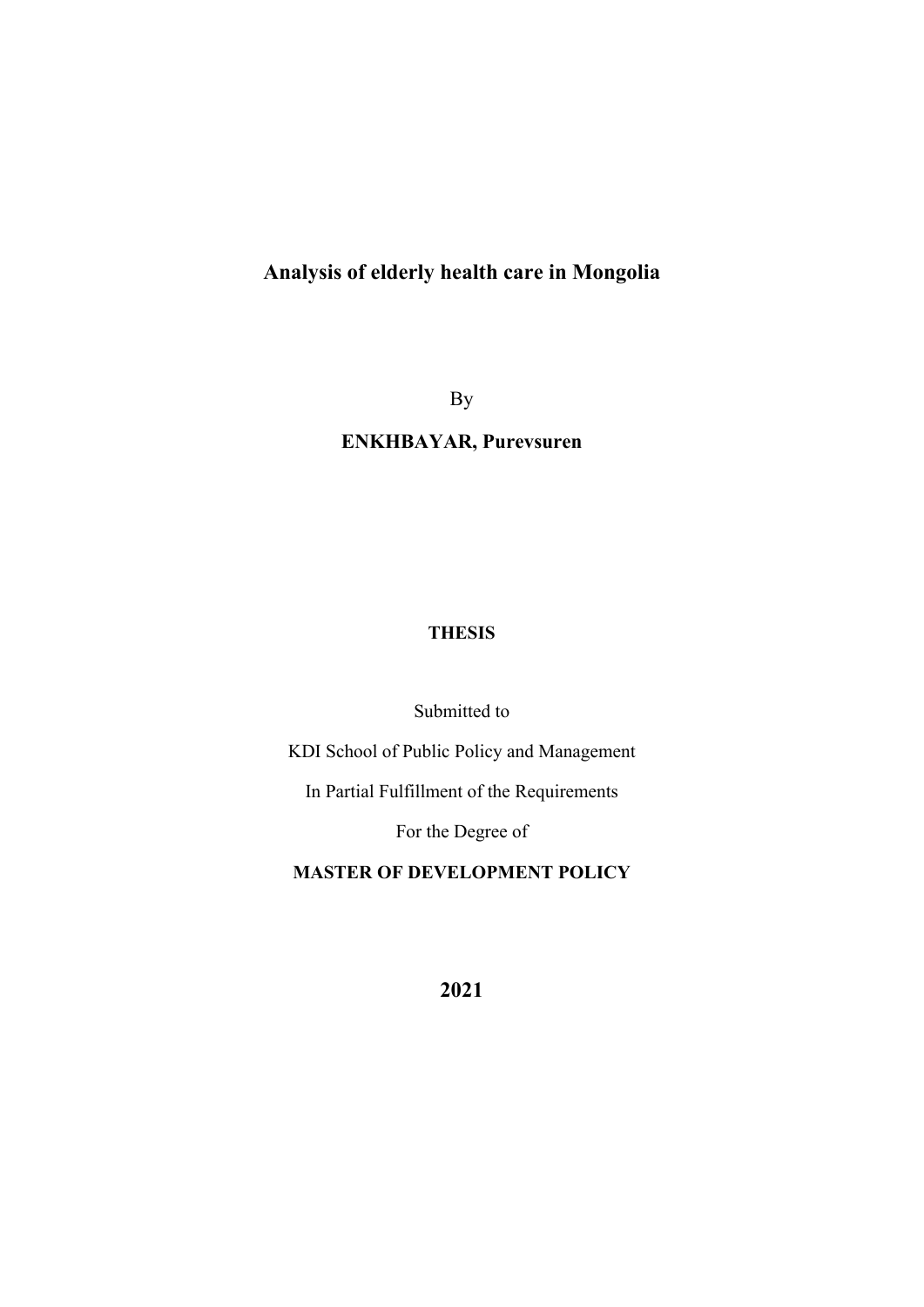# **Analysis of elderly health care in Mongolia**

By

## **ENKHBAYAR, Purevsuren**

## **THESIS**

Submitted to

KDI School of Public Policy and Management

In Partial Fulfillment of the Requirements

For the Degree of

## **MASTER OF DEVELOPMENT POLICY**

**2021**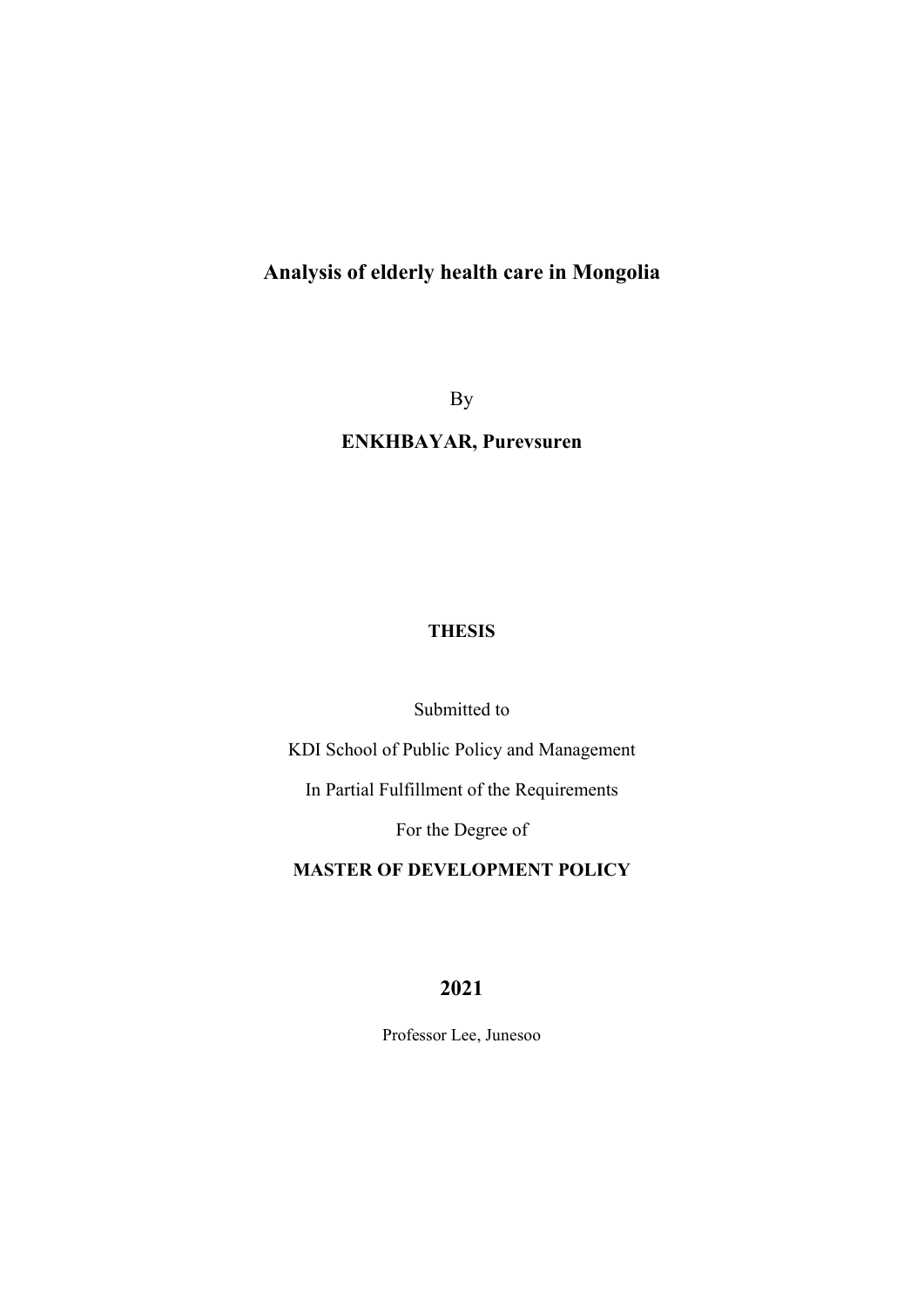# **Analysis of elderly health care in Mongolia**

By

## **ENKHBAYAR, Purevsuren**

## **THESIS**

### Submitted to

KDI School of Public Policy and Management

In Partial Fulfillment of the Requirements

For the Degree of

### **MASTER OF DEVELOPMENT POLICY**

## **2021**

Professor Lee, Junesoo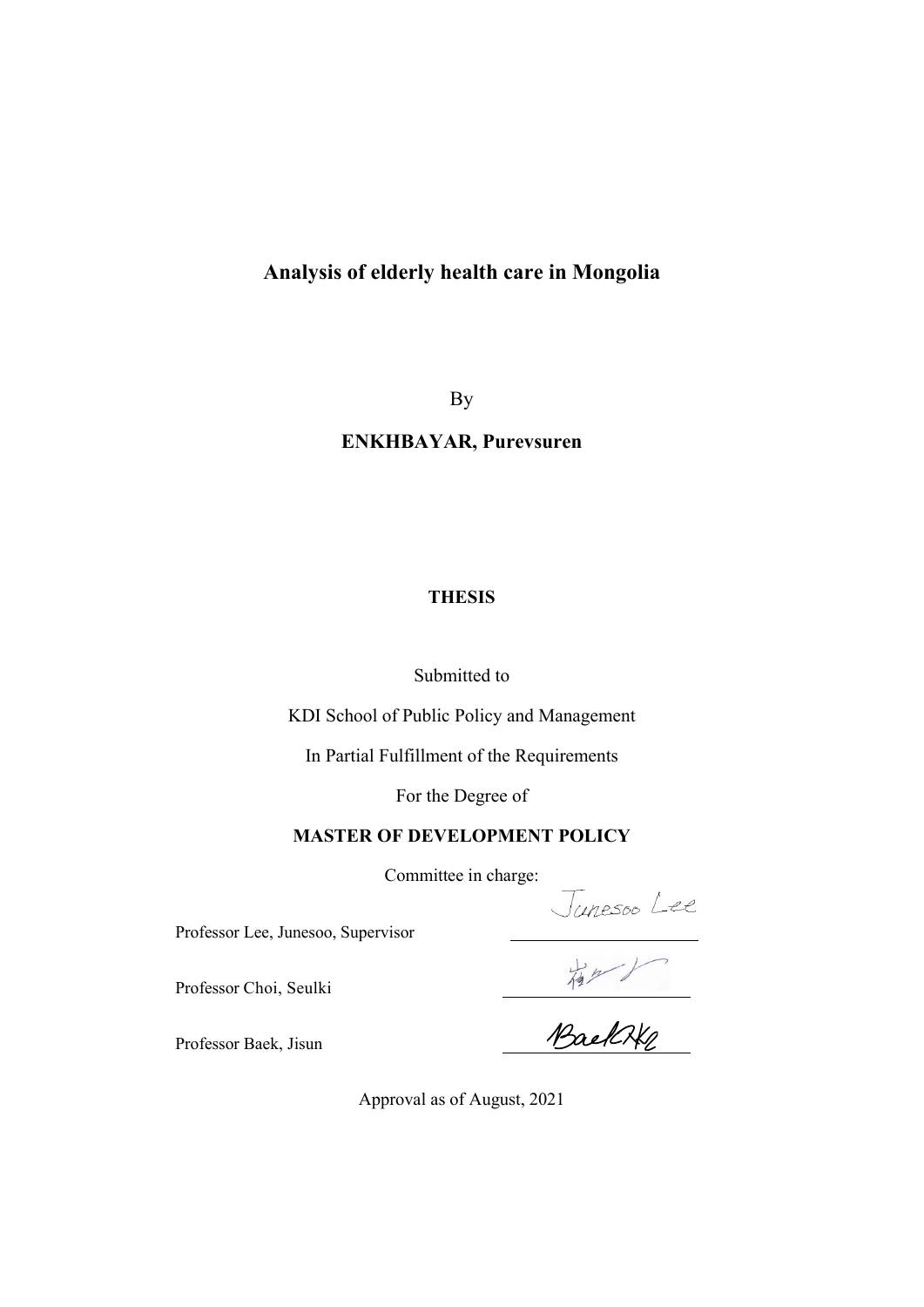## **Analysis of elderly health care in Mongolia**

By

## **ENKHBAYAR, Purevsuren**

### **THESIS**

Submitted to

KDI School of Public Policy and Management

In Partial Fulfillment of the Requirements

For the Degree of

#### **MASTER OF DEVELOPMENT POLICY**

Professor Lee, Junesoo, Supervisor

Professor Choi, Seulki

Committee in charge:<br>Visor<br>WaelCKe

Professor Baek, Jisun

Approval as of August, 2021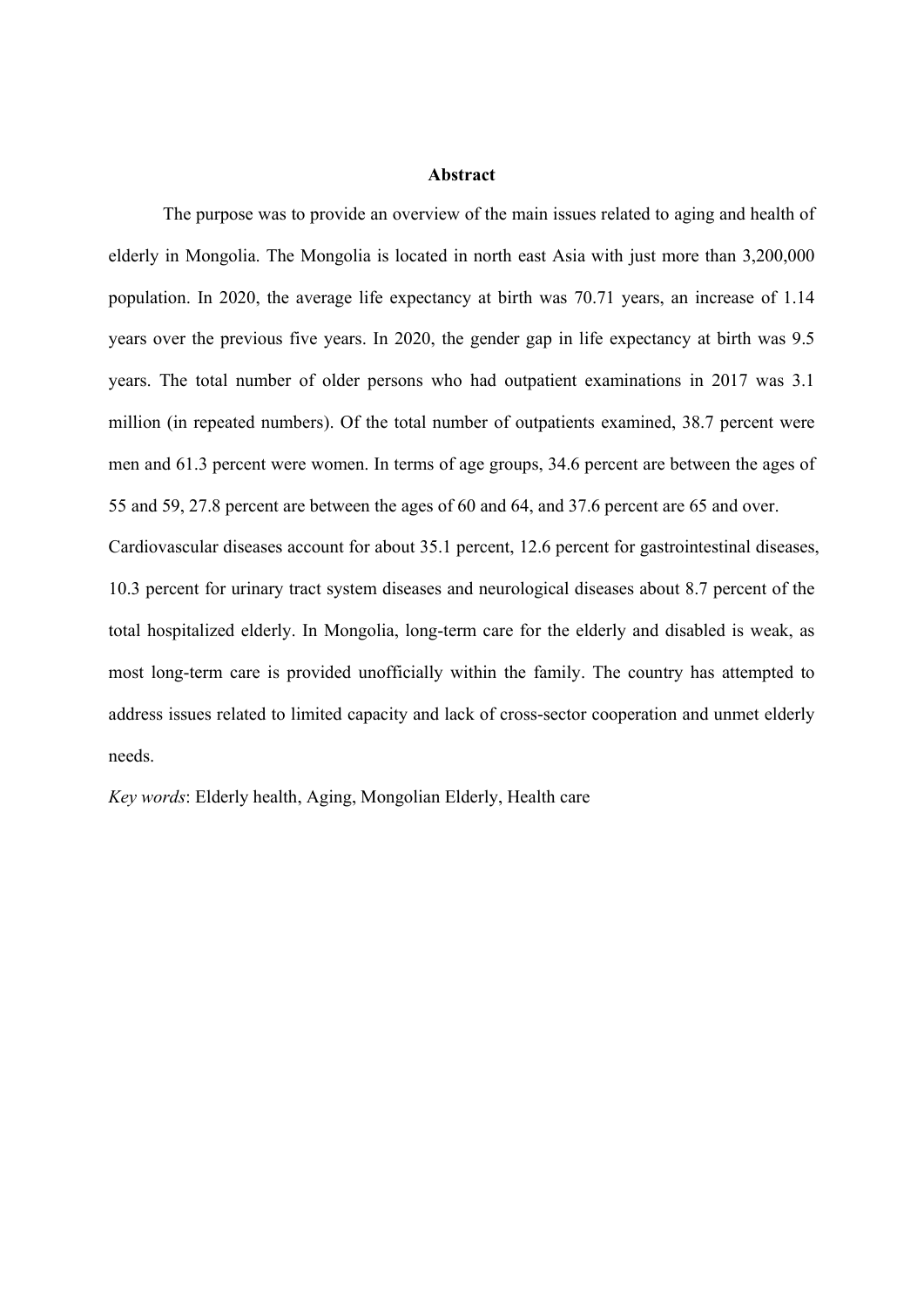#### **Abstract**

The purpose was to provide an overview of the main issues related to aging and health of elderly in Mongolia. The Mongolia is located in north east Asia with just more than 3,200,000 population. In 2020, the average life expectancy at birth was 70.71 years, an increase of 1.14 years over the previous five years. In 2020, the gender gap in life expectancy at birth was 9.5 years. The total number of older persons who had outpatient examinations in 2017 was 3.1 million (in repeated numbers). Of the total number of outpatients examined, 38.7 percent were men and 61.3 percent were women. In terms of age groups, 34.6 percent are between the ages of 55 and 59, 27.8 percent are between the ages of 60 and 64, and 37.6 percent are 65 and over. Cardiovascular diseases account for about 35.1 percent, 12.6 percent for gastrointestinal diseases, 10.3 percent for urinary tract system diseases and neurological diseases about 8.7 percent of the total hospitalized elderly. In Mongolia, long-term care for the elderly and disabled is weak, as most long-term care is provided unofficially within the family. The country has attempted to address issues related to limited capacity and lack of cross-sector cooperation and unmet elderly needs.

*Key words*: Elderly health, Aging, Mongolian Elderly, Health care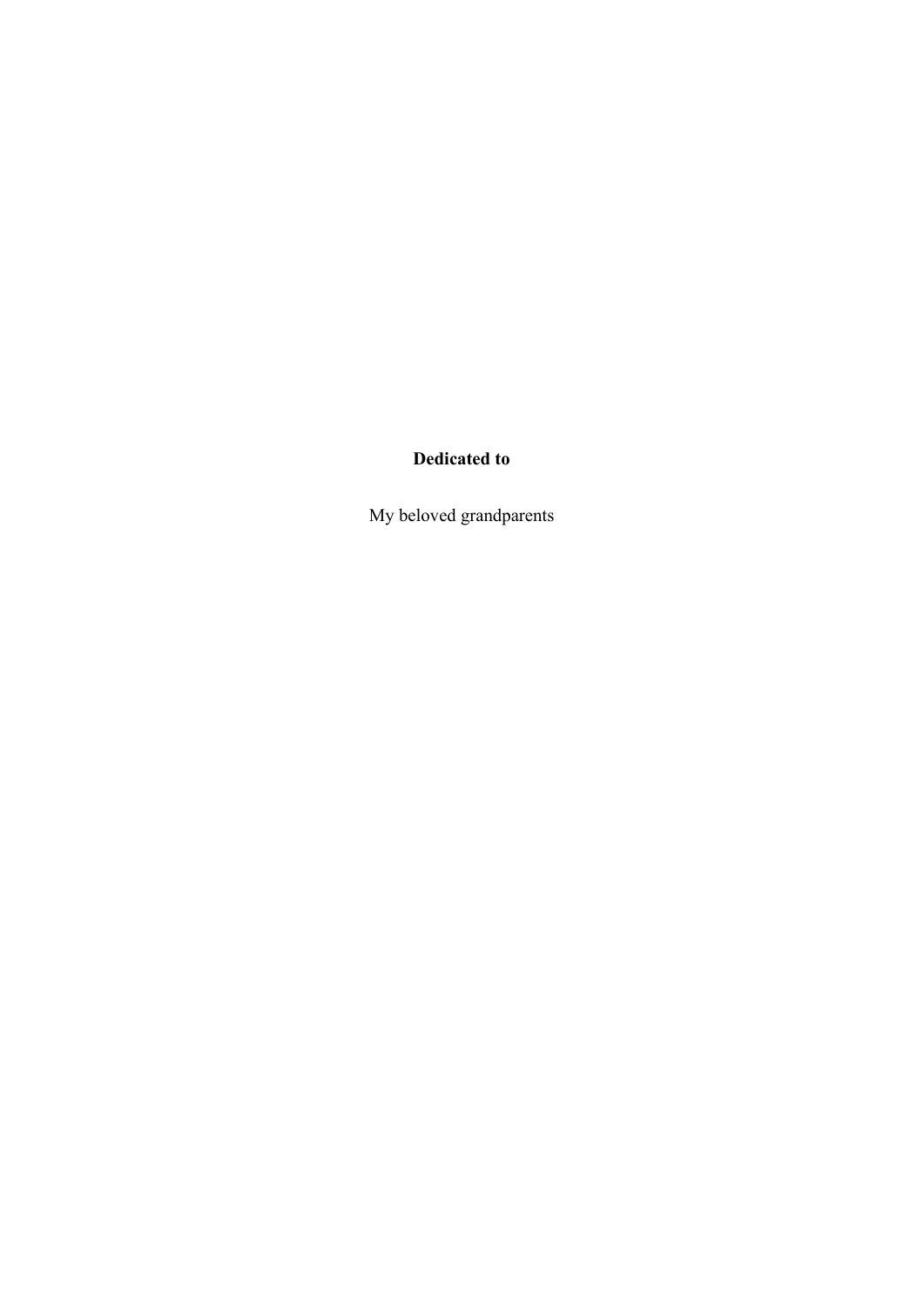## **Dedicated to**

My beloved grandparents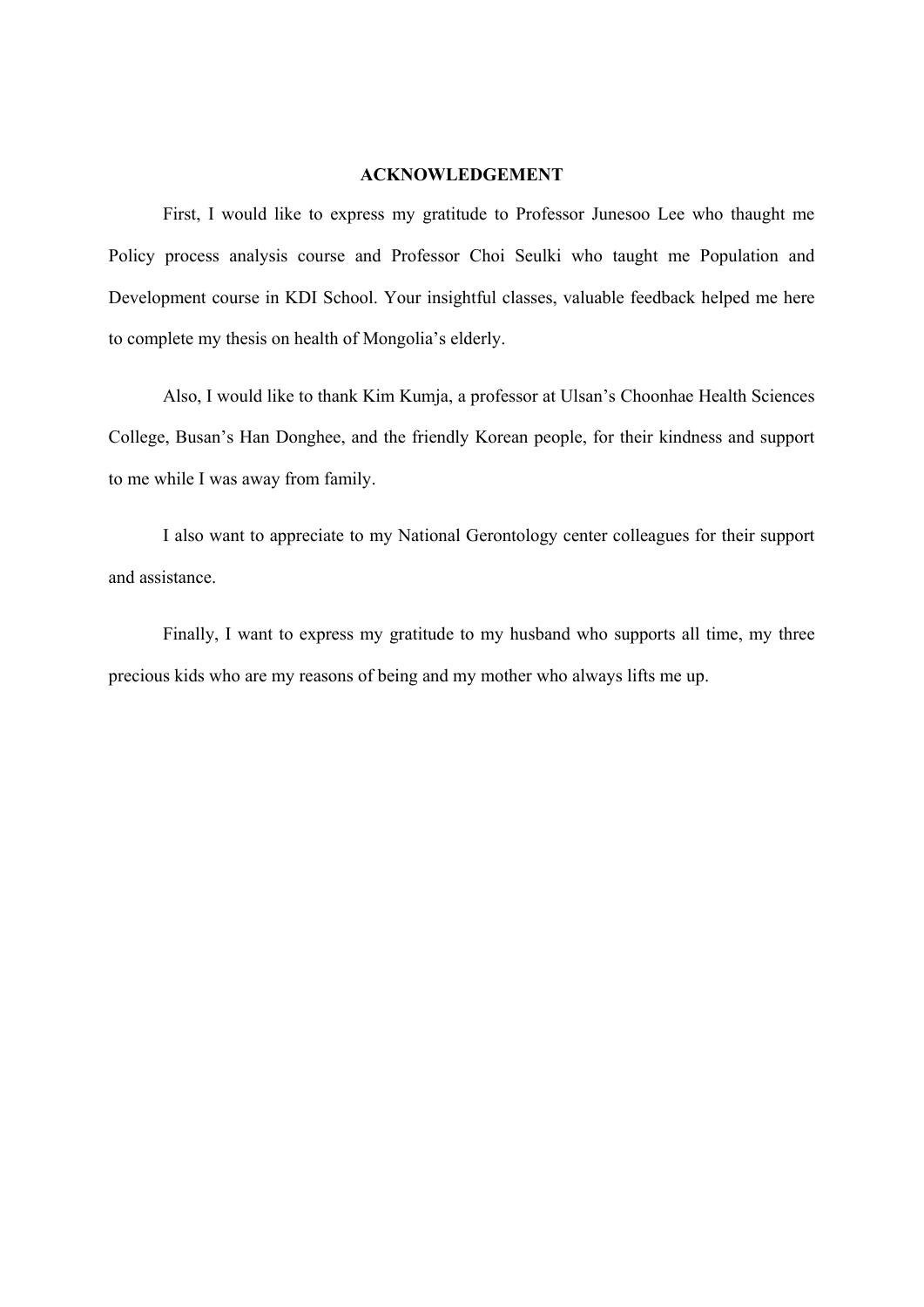#### **ACKNOWLEDGEMENT**

First, I would like to express my gratitude to Professor Junesoo Lee who thaught me Policy process analysis course and Professor Choi Seulki who taught me Population and Development course in KDI School. Your insightful classes, valuable feedback helped me here to complete my thesis on health of Mongolia's elderly.

Also, I would like to thank Kim Kumja, a professor at Ulsan's Choonhae Health Sciences College, Busan's Han Donghee, and the friendly Korean people, for their kindness and support to me while I was away from family.

I also want to appreciate to my National Gerontology center colleagues for their support and assistance.

Finally, I want to express my gratitude to my husband who supports all time, my three precious kids who are my reasons of being and my mother who always lifts me up.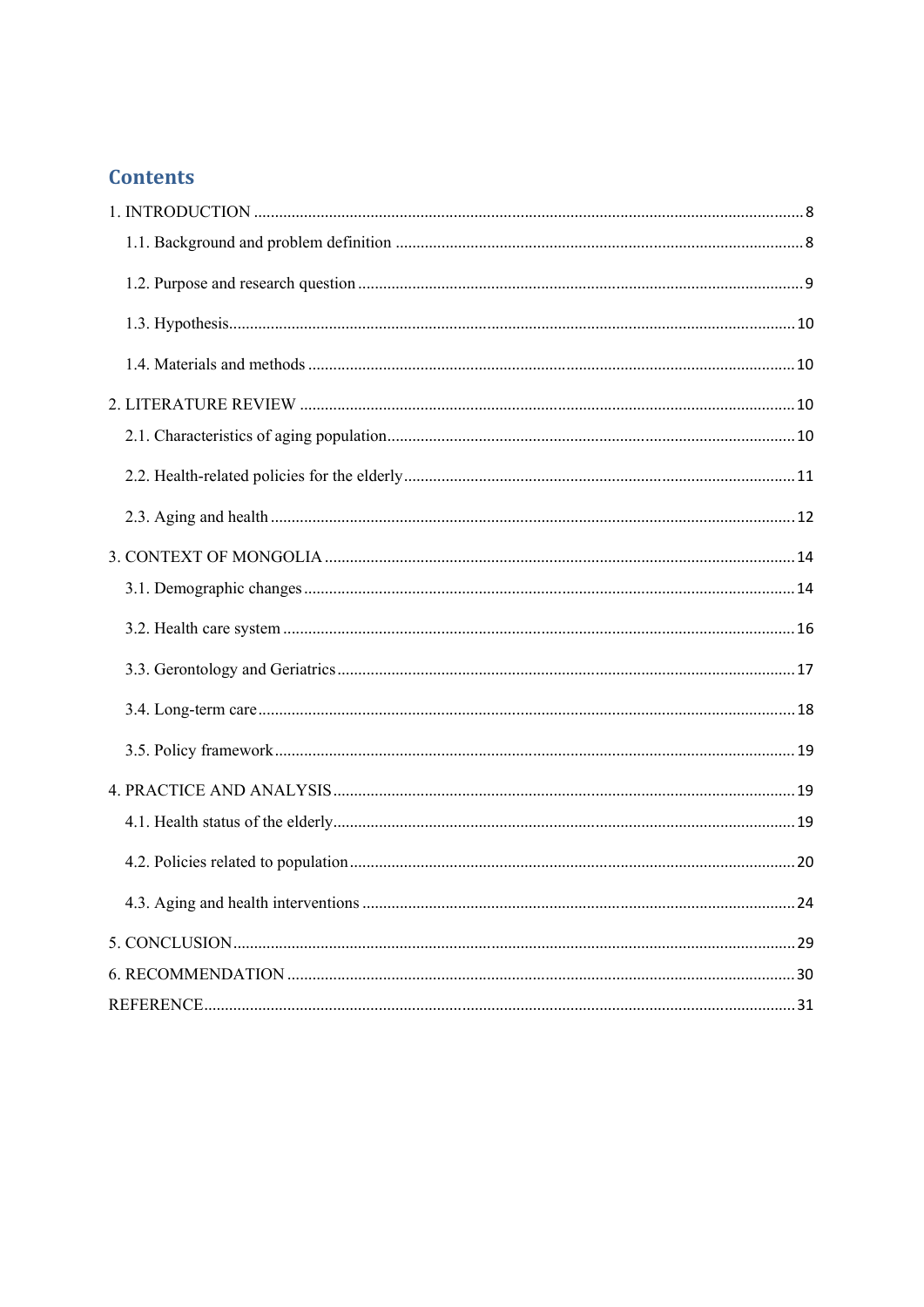## **Contents**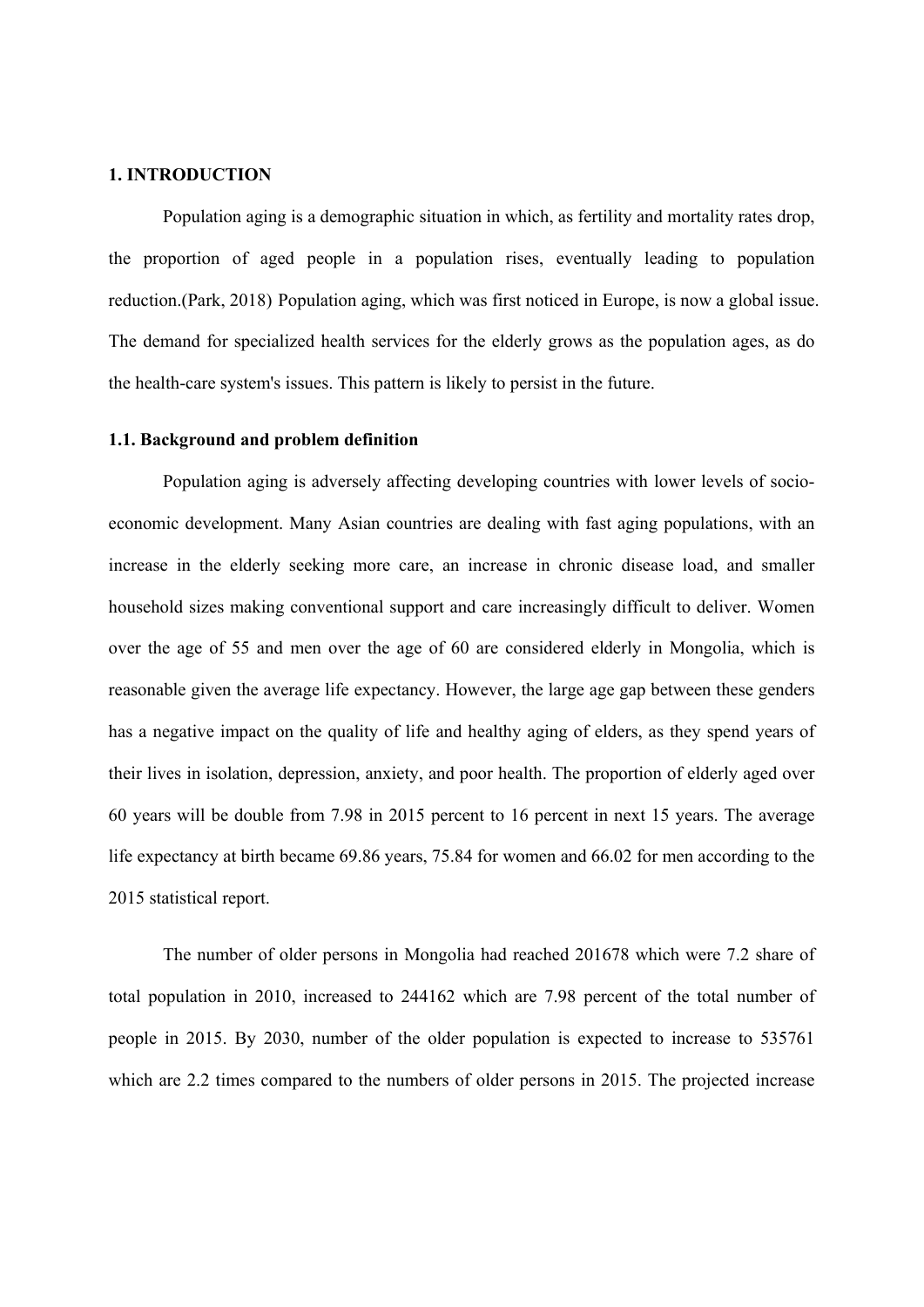#### **1. INTRODUCTION**

Population aging is a demographic situation in which, as fertility and mortality rates drop, the proportion of aged people in a population rises, eventually leading to population reduction.(Park, 2018) Population aging, which was first noticed in Europe, is now a global issue. The demand for specialized health services for the elderly grows as the population ages, as do the health-care system's issues. This pattern is likely to persist in the future.

#### **1.1. Background and problem definition**

Population aging is adversely affecting developing countries with lower levels of socioeconomic development. Many Asian countries are dealing with fast aging populations, with an increase in the elderly seeking more care, an increase in chronic disease load, and smaller household sizes making conventional support and care increasingly difficult to deliver. Women over the age of 55 and men over the age of 60 are considered elderly in Mongolia, which is reasonable given the average life expectancy. However, the large age gap between these genders has a negative impact on the quality of life and healthy aging of elders, as they spend years of their lives in isolation, depression, anxiety, and poor health. The proportion of elderly aged over 60 years will be double from 7.98 in 2015 percent to 16 percent in next 15 years. The average life expectancy at birth became 69.86 years, 75.84 for women and 66.02 for men according to the 2015 statistical report.

The number of older persons in Mongolia had reached 201678 which were 7.2 share of total population in 2010, increased to 244162 which are 7.98 percent of the total number of people in 2015. By 2030, number of the older population is expected to increase to 535761 which are 2.2 times compared to the numbers of older persons in 2015. The projected increase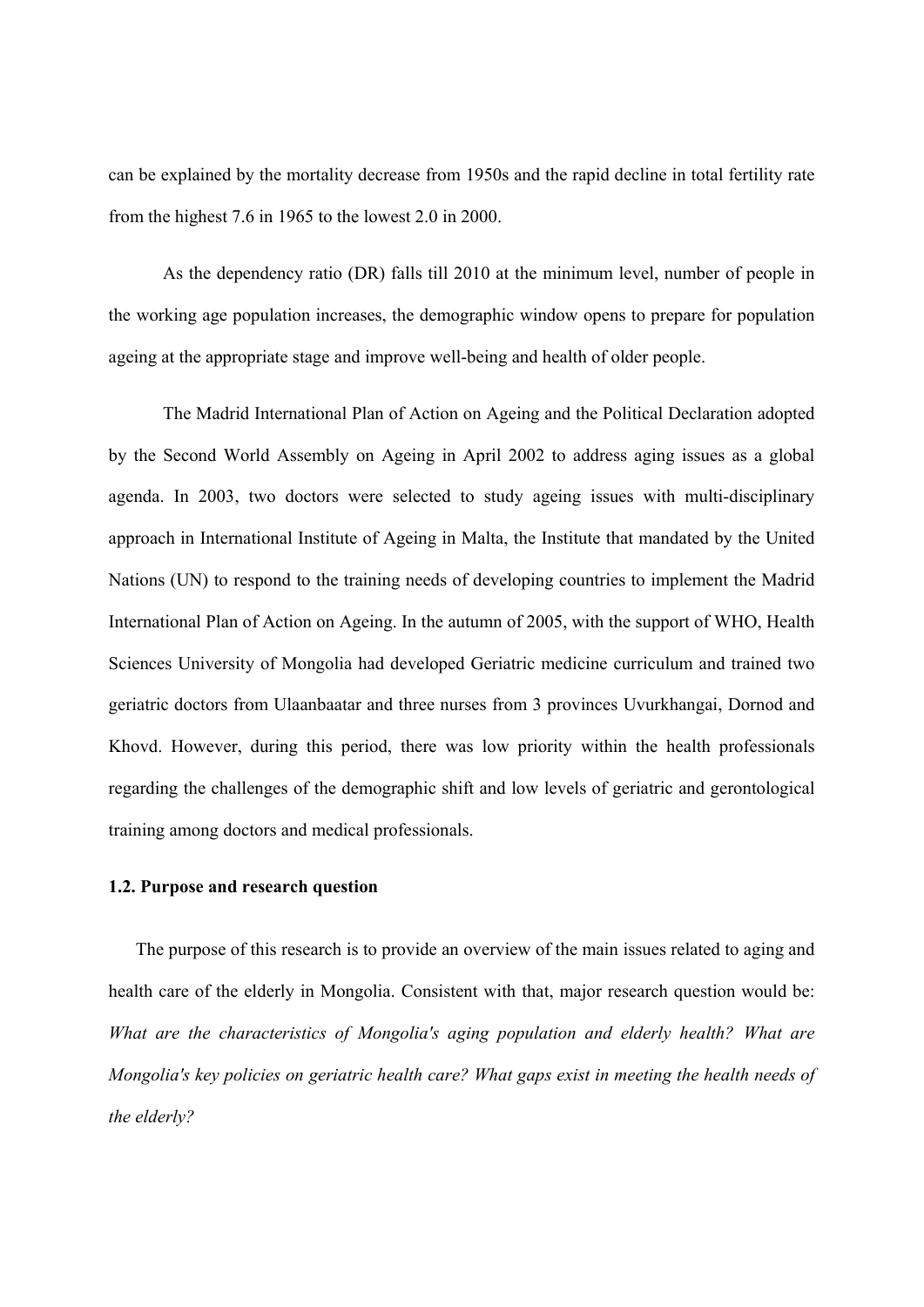can be explained by the mortality decrease from 1950s and the rapid decline in total fertility rate from the highest 7.6 in 1965 to the lowest 2.0 in 2000.

As the dependency ratio (DR) falls till 2010 at the minimum level, number of people in the working age population increases, the demographic window opens to prepare for population ageing at the appropriate stage and improve well-being and health of older people.

The Madrid International Plan of Action on Ageing and the Political Declaration adopted by the Second World Assembly on Ageing in April 2002 to address aging issues as a global agenda. In 2003, two doctors were selected to study ageing issues with multi-disciplinary approach in International Institute of Ageing in Malta, the Institute that mandated by the United Nations (UN) to respond to the training needs of developing countries to implement the Madrid International Plan of Action on Ageing. In the autumn of 2005, with the support of WHO, Health Sciences University of Mongolia had developed Geriatric medicine curriculum and trained two geriatric doctors from Ulaanbaatar and three nurses from 3 provinces Uvurkhangai, Dornod and Khovd. However, during this period, there was low priority within the health professionals regarding the challenges of the demographic shift and low levels of geriatric and gerontological training among doctors and medical professionals.

#### **1.2. Purpose and research question**

The purpose of this research is to provide an overview of the main issues related to aging and health care of the elderly in Mongolia. Consistent with that, major research question would be: *What are the characteristics of Mongolia's aging population and elderly health? What are Mongolia's key policies on geriatric health care? What gaps exist in meeting the health needs of the elderly?*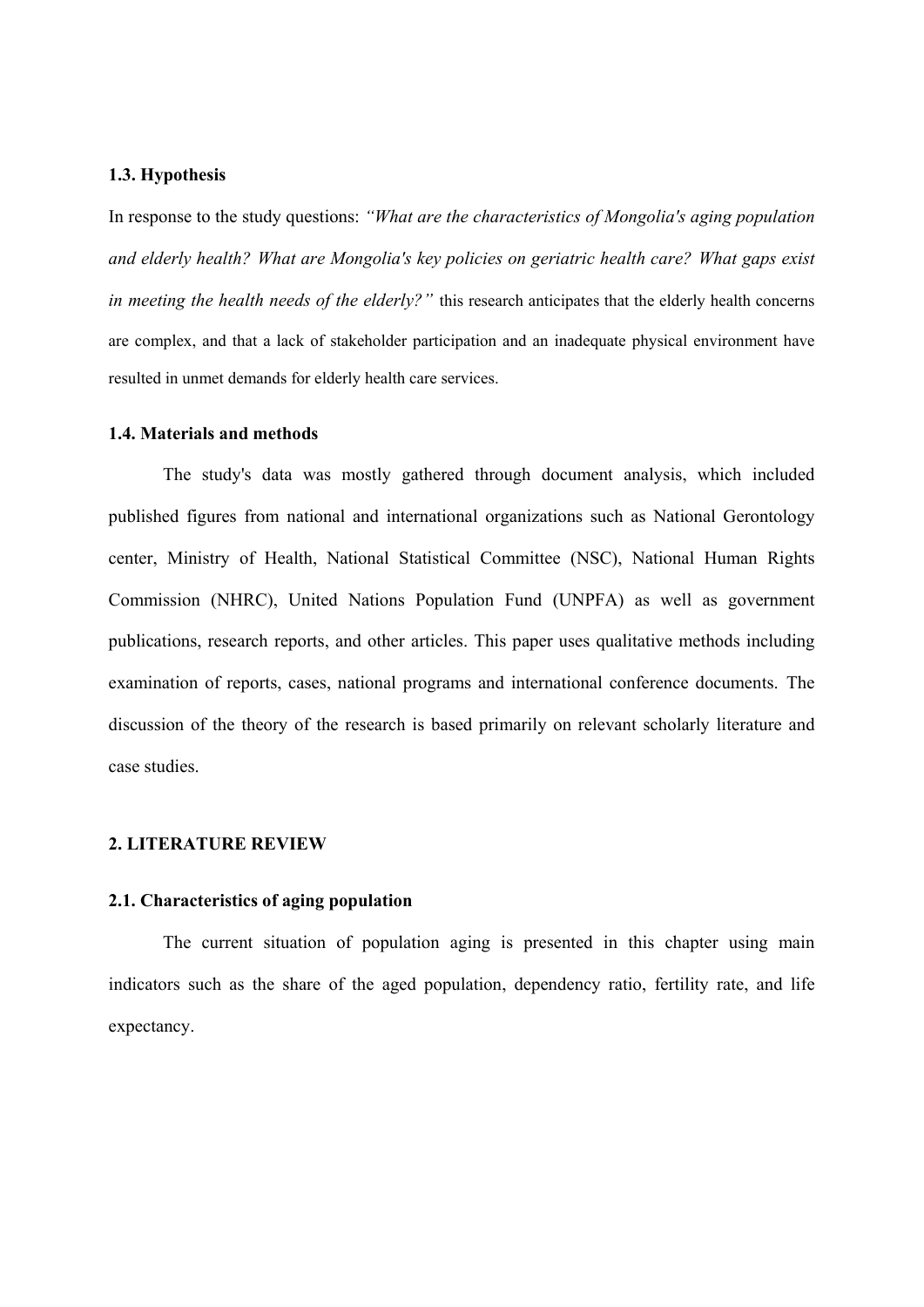#### **1.3. Hypothesis**

In response to the study questions: *"What are the characteristics of Mongolia's aging population and elderly health? What are Mongolia's key policies on geriatric health care? What gaps exist in meeting the health needs of the elderly?*" this research anticipates that the elderly health concerns are complex, and that a lack of stakeholder participation and an inadequate physical environment have resulted in unmet demands for elderly health care services.

#### **1.4. Materials and methods**

The study's data was mostly gathered through document analysis, which included published figures from national and international organizations such as National Gerontology center, Ministry of Health, National Statistical Committee (NSC), National Human Rights Commission (NHRC), United Nations Population Fund (UNPFA) as well as government publications, research reports, and other articles. This paper uses qualitative methods including examination of reports, cases, national programs and international conference documents. The discussion of the theory of the research is based primarily on relevant scholarly literature and case studies.

#### **2. LITERATURE REVIEW**

#### **2.1. Characteristics of aging population**

The current situation of population aging is presented in this chapter using main indicators such as the share of the aged population, dependency ratio, fertility rate, and life expectancy.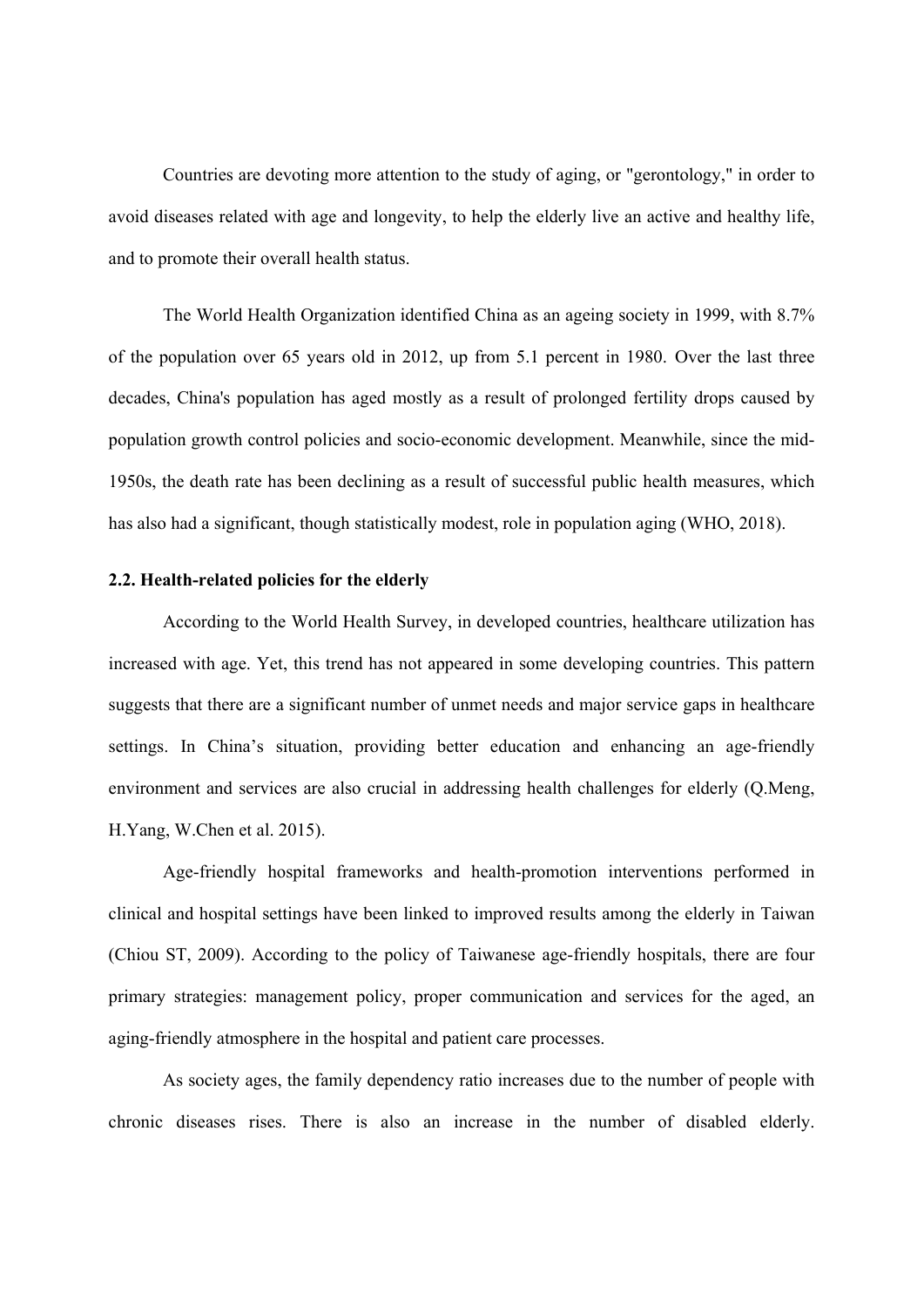Countries are devoting more attention to the study of aging, or "gerontology," in order to avoid diseases related with age and longevity, to help the elderly live an active and healthy life, and to promote their overall health status.

The World Health Organization identified China as an ageing society in 1999, with 8.7% of the population over 65 years old in 2012, up from 5.1 percent in 1980. Over the last three decades, China's population has aged mostly as a result of prolonged fertility drops caused by population growth control policies and socio-economic development. Meanwhile, since the mid-1950s, the death rate has been declining as a result of successful public health measures, which has also had a significant, though statistically modest, role in population aging (WHO, 2018).

#### **2.2. Health-related policies for the elderly**

According to the World Health Survey, in developed countries, healthcare utilization has increased with age. Yet, this trend has not appeared in some developing countries. This pattern suggests that there are a significant number of unmet needs and major service gaps in healthcare settings. In China's situation, providing better education and enhancing an age-friendly environment and services are also crucial in addressing health challenges for elderly (Q.Meng, H.Yang, W.Chen et al. 2015).

Age-friendly hospital frameworks and health-promotion interventions performed in clinical and hospital settings have been linked to improved results among the elderly in Taiwan (Chiou ST, 2009). According to the policy of Taiwanese age-friendly hospitals, there are four primary strategies: management policy, proper communication and services for the aged, an aging-friendly atmosphere in the hospital and patient care processes.

As society ages, the family dependency ratio increases due to the number of people with chronic diseases rises. There is also an increase in the number of disabled elderly.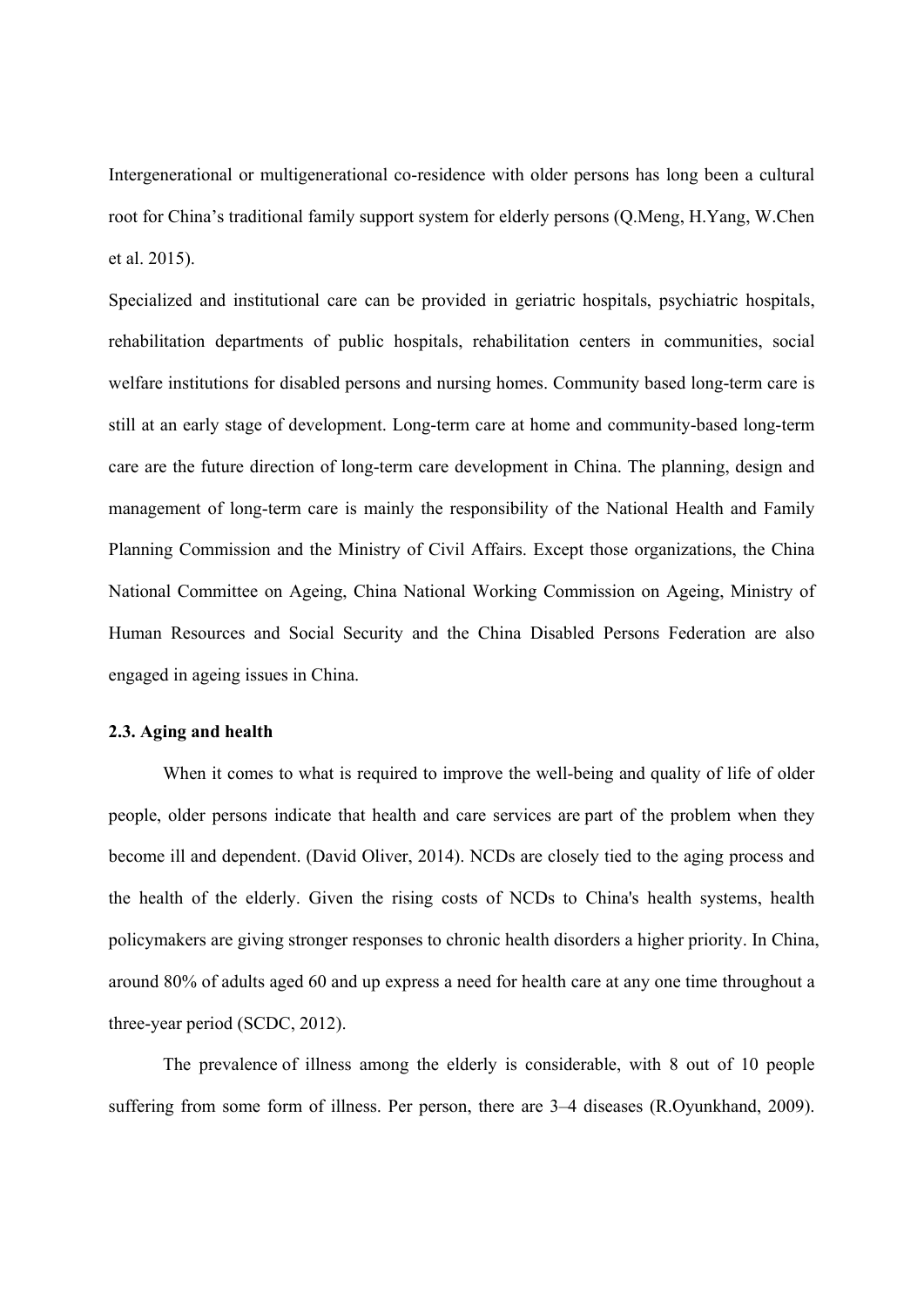Intergenerational or multigenerational co-residence with older persons has long been a cultural root for China's traditional family support system for elderly persons (Q.Meng, H.Yang, W.Chen et al. 2015).

Specialized and institutional care can be provided in geriatric hospitals, psychiatric hospitals, rehabilitation departments of public hospitals, rehabilitation centers in communities, social welfare institutions for disabled persons and nursing homes. Community based long-term care is still at an early stage of development. Long-term care at home and community-based long-term care are the future direction of long-term care development in China. The planning, design and management of long-term care is mainly the responsibility of the National Health and Family Planning Commission and the Ministry of Civil Affairs. Except those organizations, the China National Committee on Ageing, China National Working Commission on Ageing, Ministry of Human Resources and Social Security and the China Disabled Persons Federation are also engaged in ageing issues in China.

#### **2.3. Aging and health**

When it comes to what is required to improve the well-being and quality of life of older people, older persons indicate that health and care services are part of the problem when they become ill and dependent. (David Oliver, 2014). NCDs are closely tied to the aging process and the health of the elderly. Given the rising costs of NCDs to China's health systems, health policymakers are giving stronger responses to chronic health disorders a higher priority. In China, around 80% of adults aged 60 and up express a need for health care at any one time throughout a three-year period (SCDC, 2012).

The prevalence of illness among the elderly is considerable, with 8 out of 10 people suffering from some form of illness. Per person, there are 3–4 diseases (R.Oyunkhand, 2009).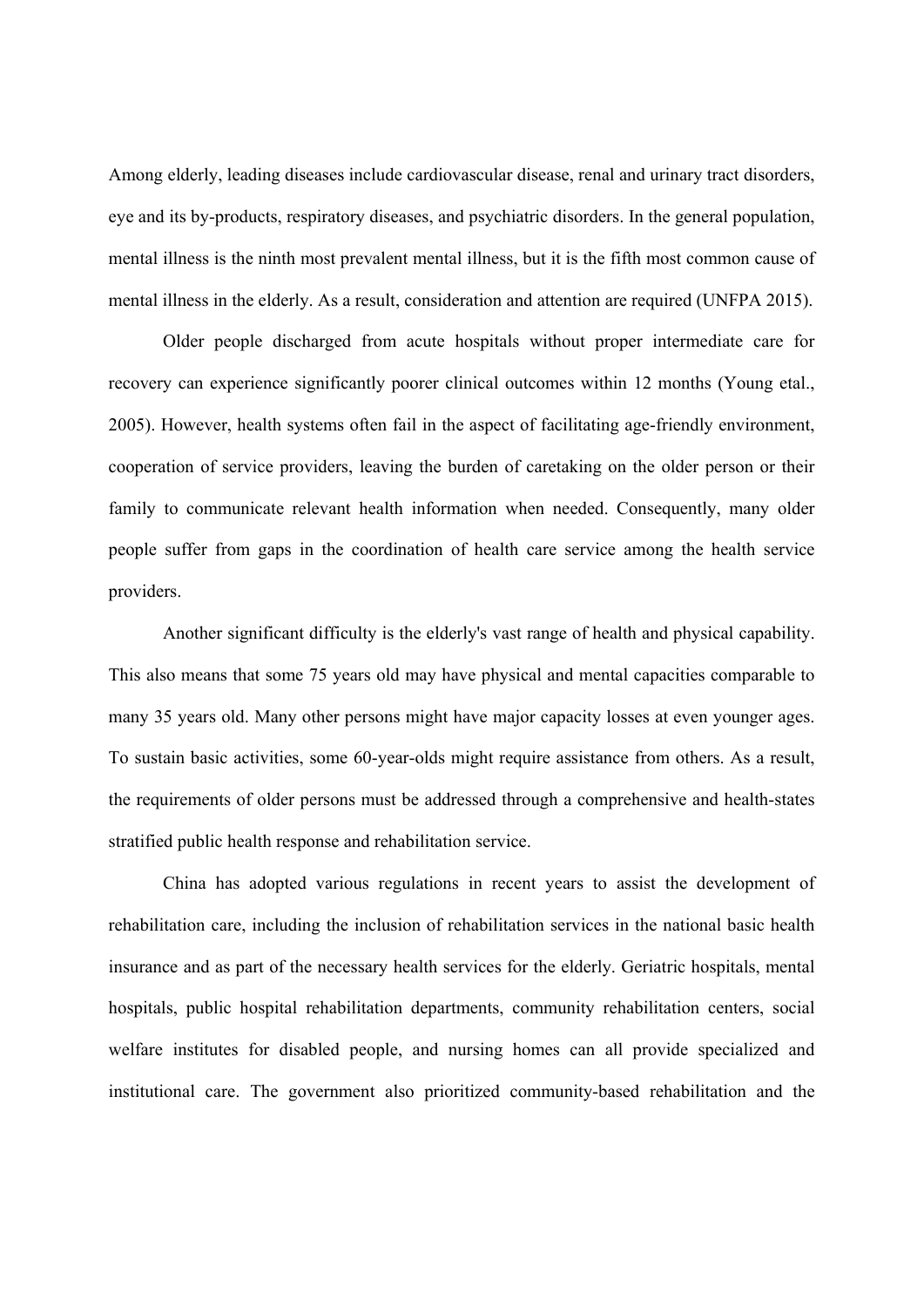Among elderly, leading diseases include cardiovascular disease, renal and urinary tract disorders, eye and its by-products, respiratory diseases, and psychiatric disorders. In the general population, mental illness is the ninth most prevalent mental illness, but it is the fifth most common cause of mental illness in the elderly. As a result, consideration and attention are required (UNFPA 2015).

Older people discharged from acute hospitals without proper intermediate care for recovery can experience significantly poorer clinical outcomes within 12 months (Young etal., 2005). However, health systems often fail in the aspect of facilitating age-friendly environment, cooperation of service providers, leaving the burden of caretaking on the older person or their family to communicate relevant health information when needed. Consequently, many older people suffer from gaps in the coordination of health care service among the health service providers.

Another significant difficulty is the elderly's vast range of health and physical capability. This also means that some 75 years old may have physical and mental capacities comparable to many 35 years old. Many other persons might have major capacity losses at even younger ages. To sustain basic activities, some 60-year-olds might require assistance from others. As a result, the requirements of older persons must be addressed through a comprehensive and health-states stratified public health response and rehabilitation service.

China has adopted various regulations in recent years to assist the development of rehabilitation care, including the inclusion of rehabilitation services in the national basic health insurance and as part of the necessary health services for the elderly. Geriatric hospitals, mental hospitals, public hospital rehabilitation departments, community rehabilitation centers, social welfare institutes for disabled people, and nursing homes can all provide specialized and institutional care. The government also prioritized community-based rehabilitation and the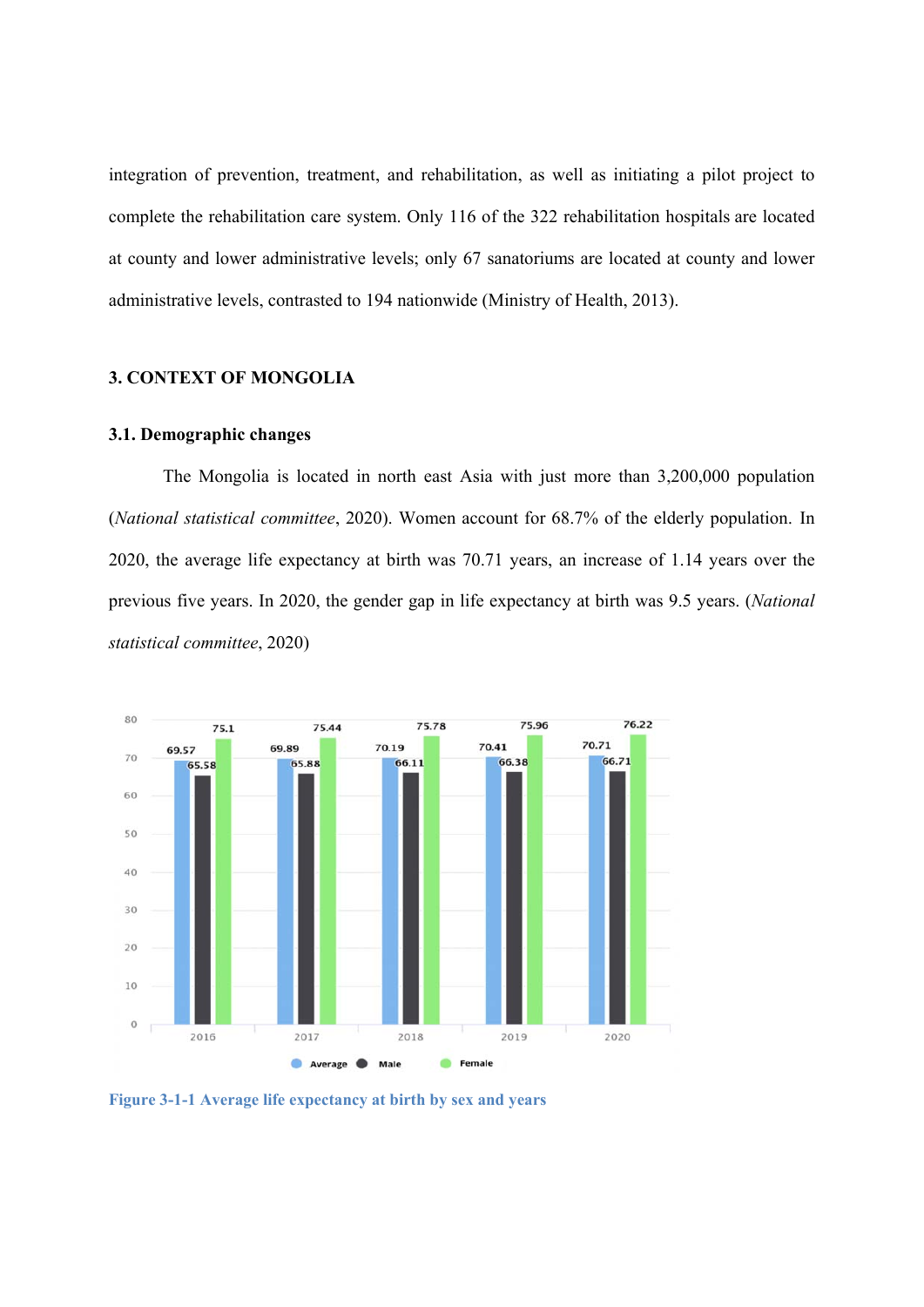integration of prevention, treatment, and rehabilitation, as well as initiating a pilot project to complete the rehabilitation care system. Only 116 of the 322 rehabilitation hospitals are located at county and lower administrative levels; only 67 sanatoriums are located at county and lower administrative levels, contrasted to 194 nationwide (Ministry of Health, 2013).

#### **3. CONTEXT OF MONGOLIA**

#### **3.1. Demographic changes**

The Mongolia is located in north east Asia with just more than 3,200,000 population (*National statistical committee*, 2020). Women account for 68.7% of the elderly population. In 2020, the average life expectancy at birth was 70.71 years, an increase of 1.14 years over the previous five years. In 2020, the gender gap in life expectancy at birth was 9.5 years. (*National statistical committee*, 2020)



**Figure 3-1-1 Average life expectancy at birth by sex and years**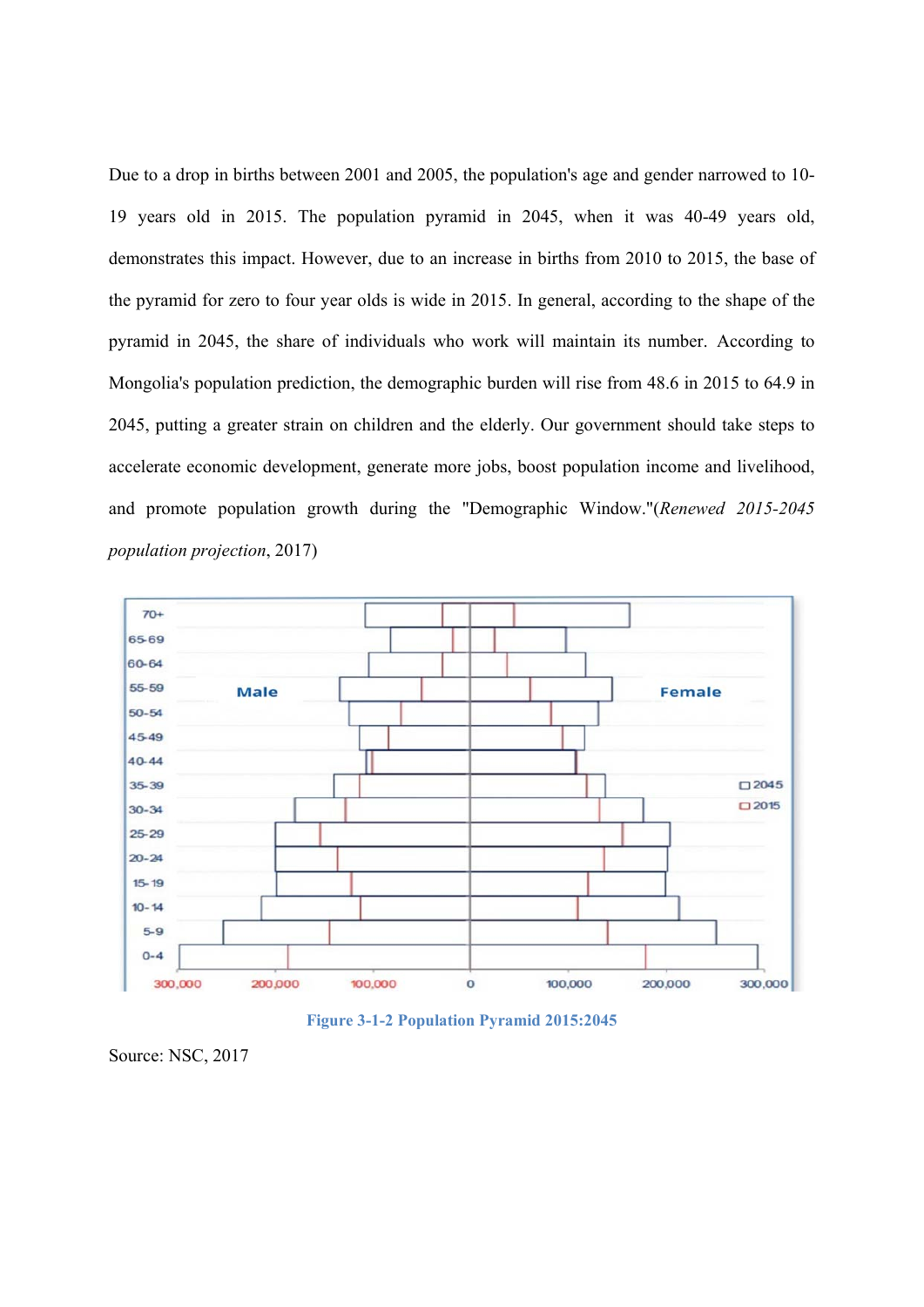Due to a drop in births between 2001 and 2005, the population's age and gender narrowed to 10- 19 years old in 2015. The population pyramid in 2045, when it was 40-49 years old, demonstrates this impact. However, due to an increase in births from 2010 to 2015, the base of the pyramid for zero to four year olds is wide in 2015. In general, according to the shape of the pyramid in 2045, the share of individuals who work will maintain its number. According to Mongolia's population prediction, the demographic burden will rise from 48.6 in 2015 to 64.9 in 2045, putting a greater strain on children and the elderly. Our government should take steps to accelerate economic development, generate more jobs, boost population income and livelihood, and promote population growth during the "Demographic Window."(*Renewed 2015-2045 population projection*, 2017)





Source: NSC, 2017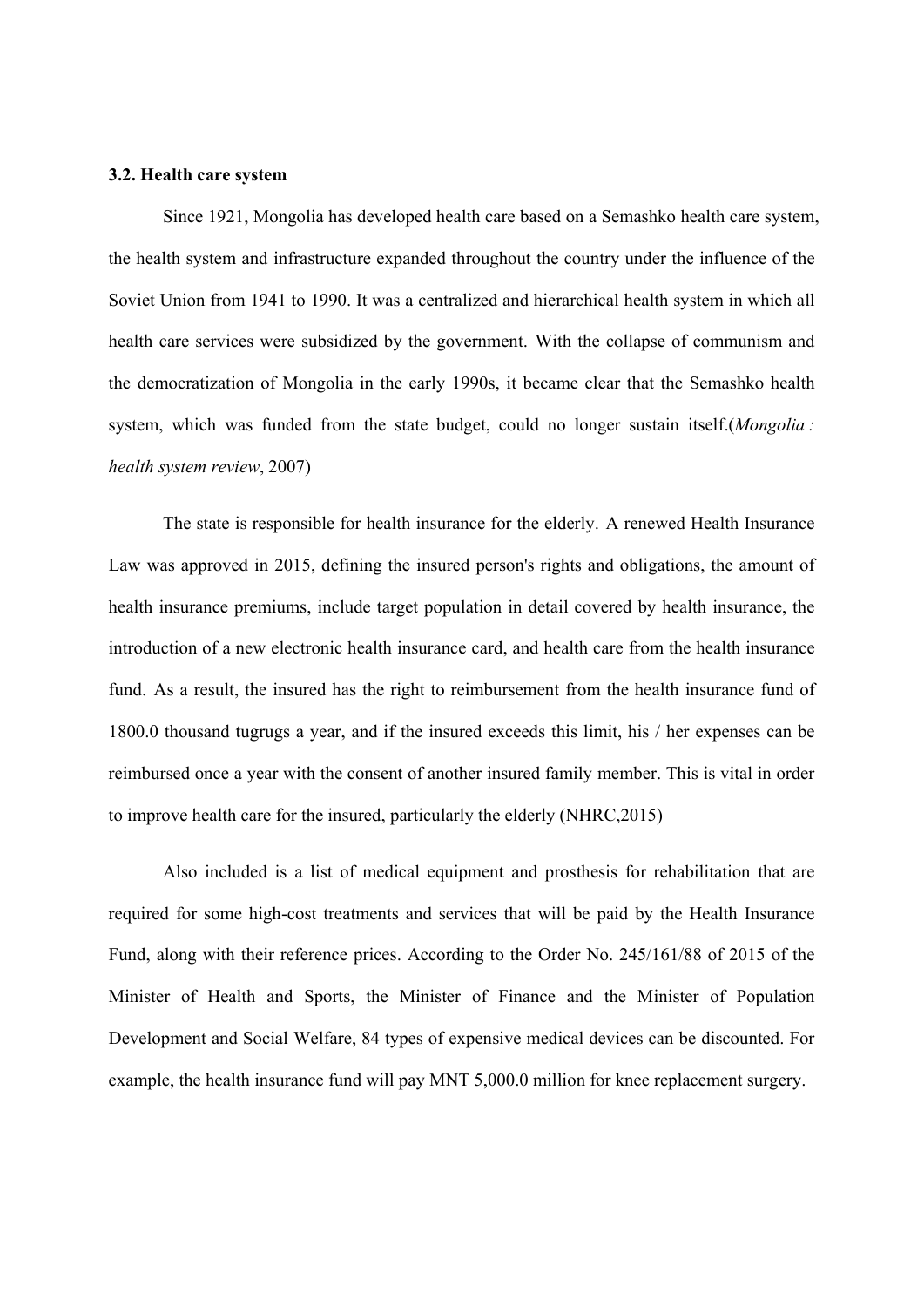#### **3.2. Health care system**

Since 1921, Mongolia has developed health care based on a Semashko health care system, the health system and infrastructure expanded throughout the country under the influence of the Soviet Union from 1941 to 1990. It was a centralized and hierarchical health system in which all health care services were subsidized by the government. With the collapse of communism and the democratization of Mongolia in the early 1990s, it became clear that the Semashko health system, which was funded from the state budget, could no longer sustain itself.(*Mongolia : health system review*, 2007)

The state is responsible for health insurance for the elderly. A renewed Health Insurance Law was approved in 2015, defining the insured person's rights and obligations, the amount of health insurance premiums, include target population in detail covered by health insurance, the introduction of a new electronic health insurance card, and health care from the health insurance fund. As a result, the insured has the right to reimbursement from the health insurance fund of 1800.0 thousand tugrugs a year, and if the insured exceeds this limit, his / her expenses can be reimbursed once a year with the consent of another insured family member. This is vital in order to improve health care for the insured, particularly the elderly (NHRC,2015)

Also included is a list of medical equipment and prosthesis for rehabilitation that are required for some high-cost treatments and services that will be paid by the Health Insurance Fund, along with their reference prices. According to the Order No. 245/161/88 of 2015 of the Minister of Health and Sports, the Minister of Finance and the Minister of Population Development and Social Welfare, 84 types of expensive medical devices can be discounted. For example, the health insurance fund will pay MNT 5,000.0 million for knee replacement surgery.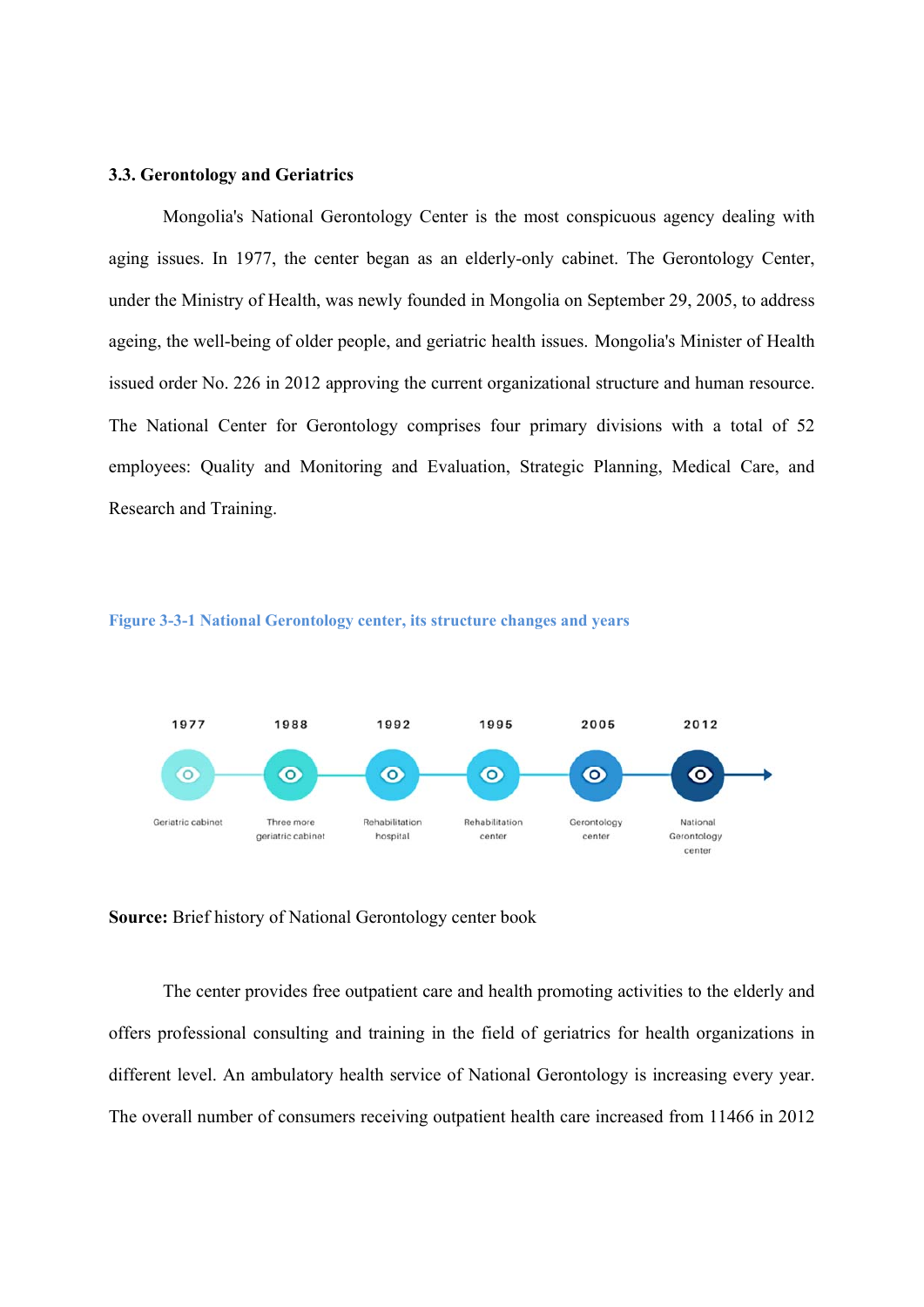#### **3.3. Gerontology and Geriatrics**

Mongolia's National Gerontology Center is the most conspicuous agency dealing with aging issues. In 1977, the center began as an elderly-only cabinet. The Gerontology Center, under the Ministry of Health, was newly founded in Mongolia on September 29, 2005, to address ageing, the well-being of older people, and geriatric health issues. Mongolia's Minister of Health issued order No. 226 in 2012 approving the current organizational structure and human resource. The National Center for Gerontology comprises four primary divisions with a total of 52 employees: Quality and Monitoring and Evaluation, Strategic Planning, Medical Care, and Research and Training.





**Source:** Brief history of National Gerontology center book

The center provides free outpatient care and health promoting activities to the elderly and offers professional consulting and training in the field of geriatrics for health organizations in different level. An ambulatory health service of National Gerontology is increasing every year. The overall number of consumers receiving outpatient health care increased from 11466 in 2012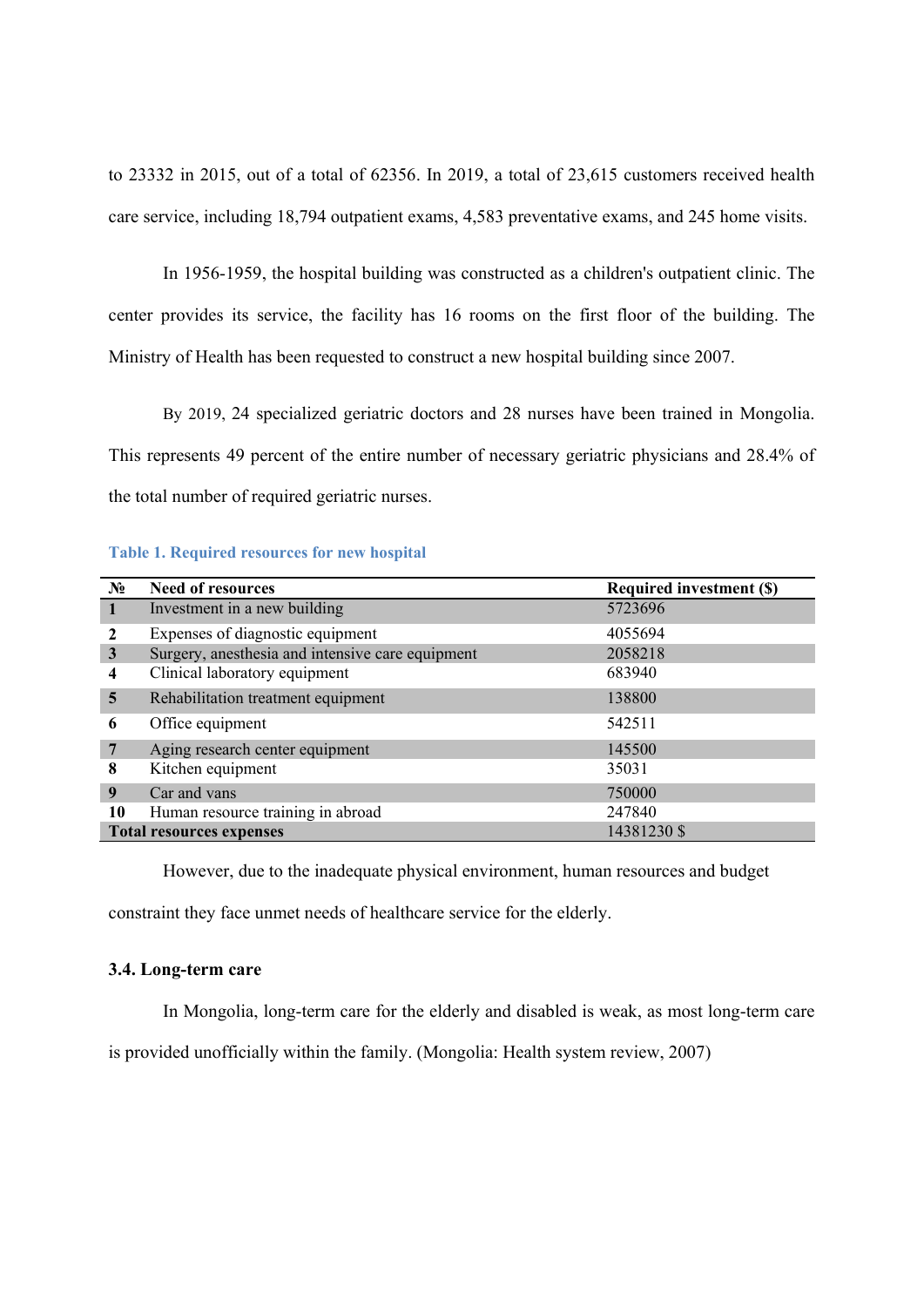to 23332 in 2015, out of a total of 62356. In 2019, a total of 23,615 customers received health care service, including 18,794 outpatient exams, 4,583 preventative exams, and 245 home visits.

In 1956-1959, the hospital building was constructed as a children's outpatient clinic. The center provides its service, the facility has 16 rooms on the first floor of the building. The Ministry of Health has been requested to construct a new hospital building since 2007.

By 2019, 24 specialized geriatric doctors and 28 nurses have been trained in Mongolia. This represents 49 percent of the entire number of necessary geriatric physicians and 28.4% of the total number of required geriatric nurses.

#### **Table 1. Required resources for new hospital**

| $N_2$                   | <b>Need of resources</b>                         | <b>Required investment (\$)</b> |  |  |  |
|-------------------------|--------------------------------------------------|---------------------------------|--|--|--|
| -1                      | Investment in a new building                     | 5723696                         |  |  |  |
|                         | Expenses of diagnostic equipment                 | 4055694                         |  |  |  |
| 3                       | Surgery, anesthesia and intensive care equipment | 2058218                         |  |  |  |
| 4                       | Clinical laboratory equipment                    | 683940                          |  |  |  |
| $\overline{\mathbf{5}}$ | Rehabilitation treatment equipment               | 138800                          |  |  |  |
| 6                       | Office equipment                                 | 542511                          |  |  |  |
| 7                       | Aging research center equipment                  | 145500                          |  |  |  |
| 8                       | Kitchen equipment                                | 35031                           |  |  |  |
| 9                       | Car and vans                                     | 750000                          |  |  |  |
| 10                      | Human resource training in abroad                | 247840                          |  |  |  |
|                         | 14381230 \$<br><b>Total resources expenses</b>   |                                 |  |  |  |

However, due to the inadequate physical environment, human resources and budget

constraint they face unmet needs of healthcare service for the elderly.

#### **3.4. Long-term care**

In Mongolia, long-term care for the elderly and disabled is weak, as most long-term care

is provided unofficially within the family. (Mongolia: Health system review, 2007)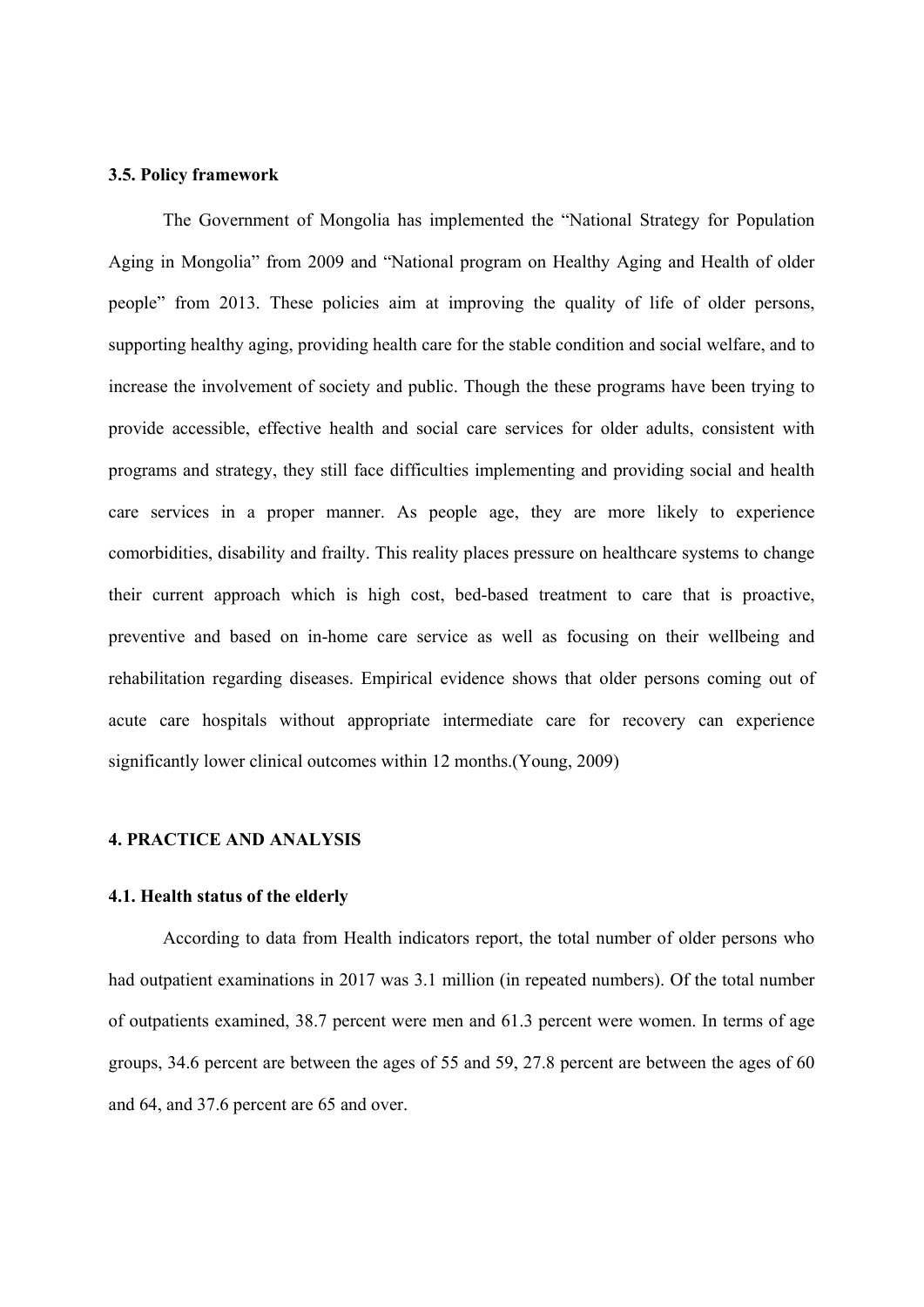#### **3.5. Policy framework**

The Government of Mongolia has implemented the "National Strategy for Population Aging in Mongolia" from 2009 and "National program on Healthy Aging and Health of older people" from 2013. These policies aim at improving the quality of life of older persons, supporting healthy aging, providing health care for the stable condition and social welfare, and to increase the involvement of society and public. Though the these programs have been trying to provide accessible, effective health and social care services for older adults, consistent with programs and strategy, they still face difficulties implementing and providing social and health care services in a proper manner. As people age, they are more likely to experience comorbidities, disability and frailty. This reality places pressure on healthcare systems to change their current approach which is high cost, bed-based treatment to care that is proactive, preventive and based on in-home care service as well as focusing on their wellbeing and rehabilitation regarding diseases. Empirical evidence shows that older persons coming out of acute care hospitals without appropriate intermediate care for recovery can experience significantly lower clinical outcomes within 12 months.(Young, 2009)

#### **4. PRACTICE AND ANALYSIS**

#### **4.1. Health status of the elderly**

According to data from Health indicators report, the total number of older persons who had outpatient examinations in 2017 was 3.1 million (in repeated numbers). Of the total number of outpatients examined, 38.7 percent were men and 61.3 percent were women. In terms of age groups, 34.6 percent are between the ages of 55 and 59, 27.8 percent are between the ages of 60 and 64, and 37.6 percent are 65 and over.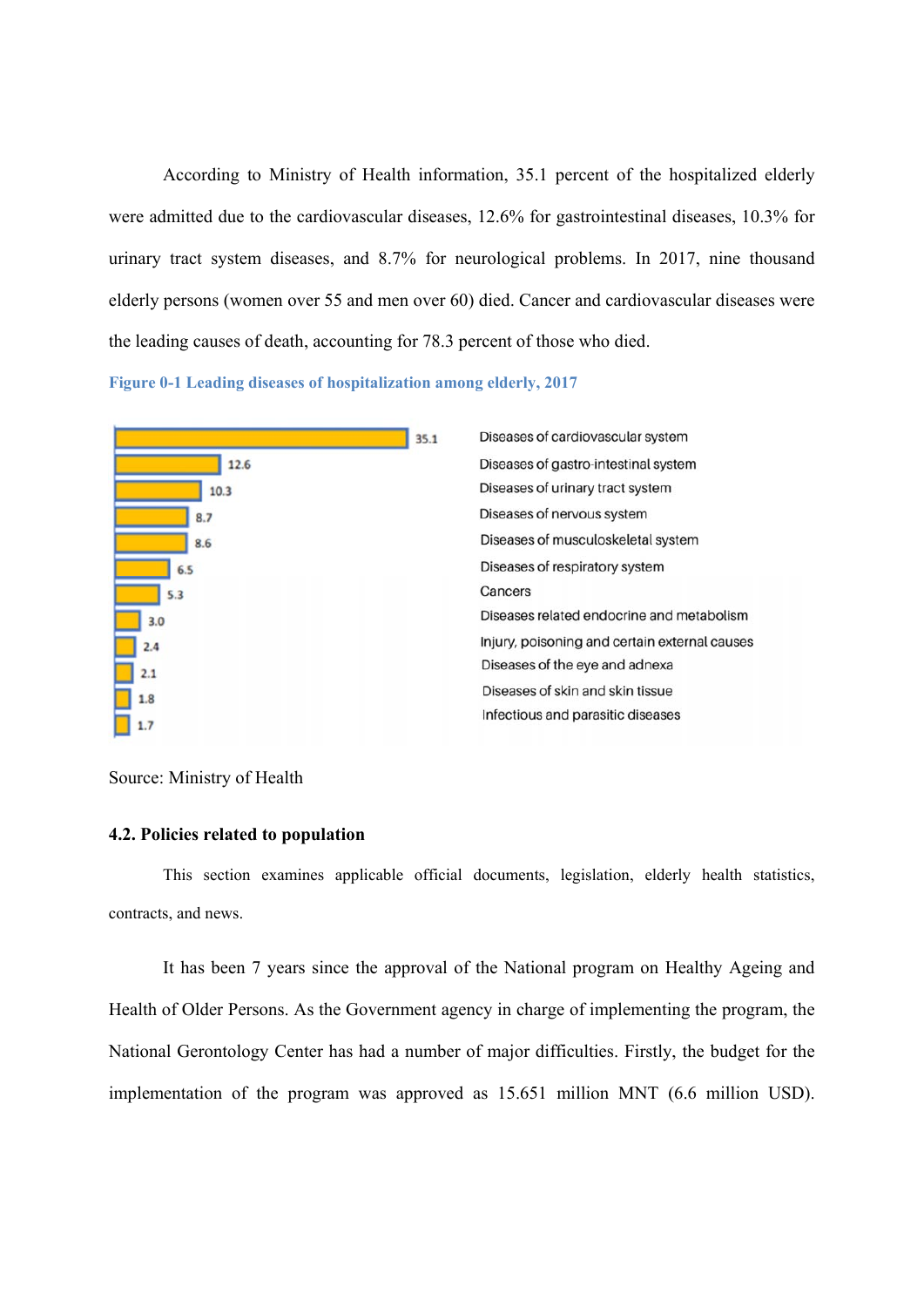According to Ministry of Health information, 35.1 percent of the hospitalized elderly were admitted due to the cardiovascular diseases, 12.6% for gastrointestinal diseases, 10.3% for urinary tract system diseases, and 8.7% for neurological problems. In 2017, nine thousand elderly persons (women over 55 and men over 60) died. Cancer and cardiovascular diseases were the leading causes of death, accounting for 78.3 percent of those who died.

**Figure 0-1 Leading diseases of hospitalization among elderly, 2017**



#### Source: Ministry of Health

#### **4.2. Policies related to population**

This section examines applicable official documents, legislation, elderly health statistics, contracts, and news.

It has been 7 years since the approval of the National program on Healthy Ageing and Health of Older Persons. As the Government agency in charge of implementing the program, the National Gerontology Center has had a number of major difficulties. Firstly, the budget for the implementation of the program was approved as 15.651 million MNT (6.6 million USD).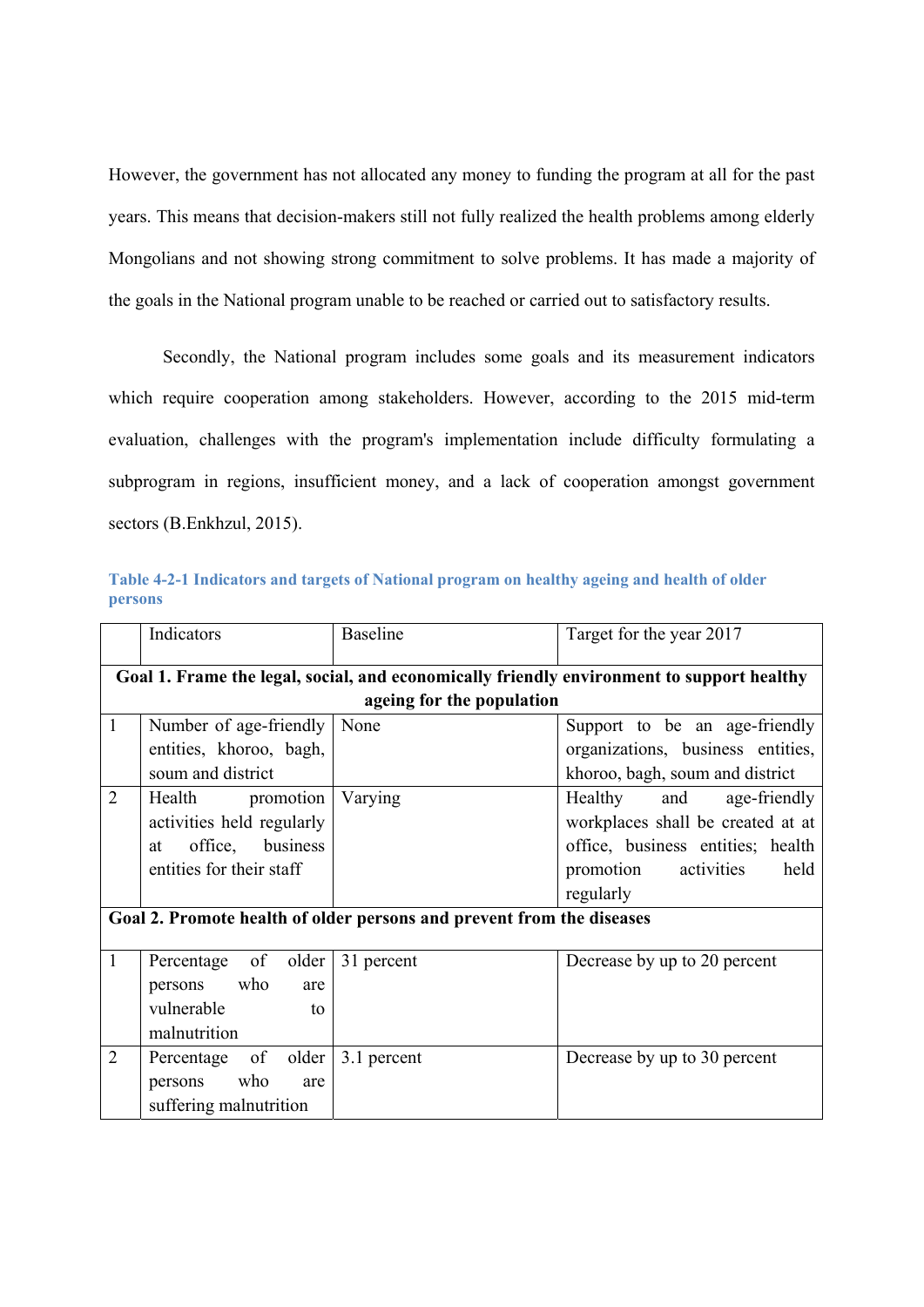However, the government has not allocated any money to funding the program at all for the past years. This means that decision-makers still not fully realized the health problems among elderly Mongolians and not showing strong commitment to solve problems. It has made a majority of the goals in the National program unable to be reached or carried out to satisfactory results.

Secondly, the National program includes some goals and its measurement indicators which require cooperation among stakeholders. However, according to the 2015 mid-term evaluation, challenges with the program's implementation include difficulty formulating a subprogram in regions, insufficient money, and a lack of cooperation amongst government sectors (B.Enkhzul, 2015).

| Table 4-2-1 Indicators and targets of National program on healthy ageing and health of older |  |  |
|----------------------------------------------------------------------------------------------|--|--|
| <b>persons</b>                                                                               |  |  |

|                          | Indicators                                                                                | <b>Baseline</b>           | Target for the year 2017          |  |  |  |  |
|--------------------------|-------------------------------------------------------------------------------------------|---------------------------|-----------------------------------|--|--|--|--|
|                          | Goal 1. Frame the legal, social, and economically friendly environment to support healthy |                           |                                   |  |  |  |  |
|                          |                                                                                           | ageing for the population |                                   |  |  |  |  |
| $\mathbf{1}$             | Number of age-friendly                                                                    | None                      | Support to be an age-friendly     |  |  |  |  |
|                          | entities, khoroo, bagh,                                                                   |                           | organizations, business entities, |  |  |  |  |
|                          | soum and district                                                                         |                           | khoroo, bagh, soum and district   |  |  |  |  |
| $\overline{2}$           | Health promotion                                                                          | Varying                   | Healthy and<br>age-friendly       |  |  |  |  |
|                          | activities held regularly                                                                 |                           | workplaces shall be created at at |  |  |  |  |
|                          | office, business<br>at                                                                    |                           | office, business entities; health |  |  |  |  |
| entities for their staff |                                                                                           |                           | promotion<br>activities<br>held   |  |  |  |  |
|                          |                                                                                           |                           | regularly                         |  |  |  |  |
|                          | Goal 2. Promote health of older persons and prevent from the diseases                     |                           |                                   |  |  |  |  |
|                          |                                                                                           |                           |                                   |  |  |  |  |
| $\mathbf{1}$             | Percentage of older                                                                       | 31 percent                | Decrease by up to 20 percent      |  |  |  |  |
|                          | persons who<br>are                                                                        |                           |                                   |  |  |  |  |
|                          | vulnerable<br>to                                                                          |                           |                                   |  |  |  |  |
|                          | malnutrition                                                                              |                           |                                   |  |  |  |  |
| $\overline{2}$           | Percentage of older                                                                       | 3.1 percent               | Decrease by up to 30 percent      |  |  |  |  |
|                          | persons who<br>are                                                                        |                           |                                   |  |  |  |  |
|                          | suffering malnutrition                                                                    |                           |                                   |  |  |  |  |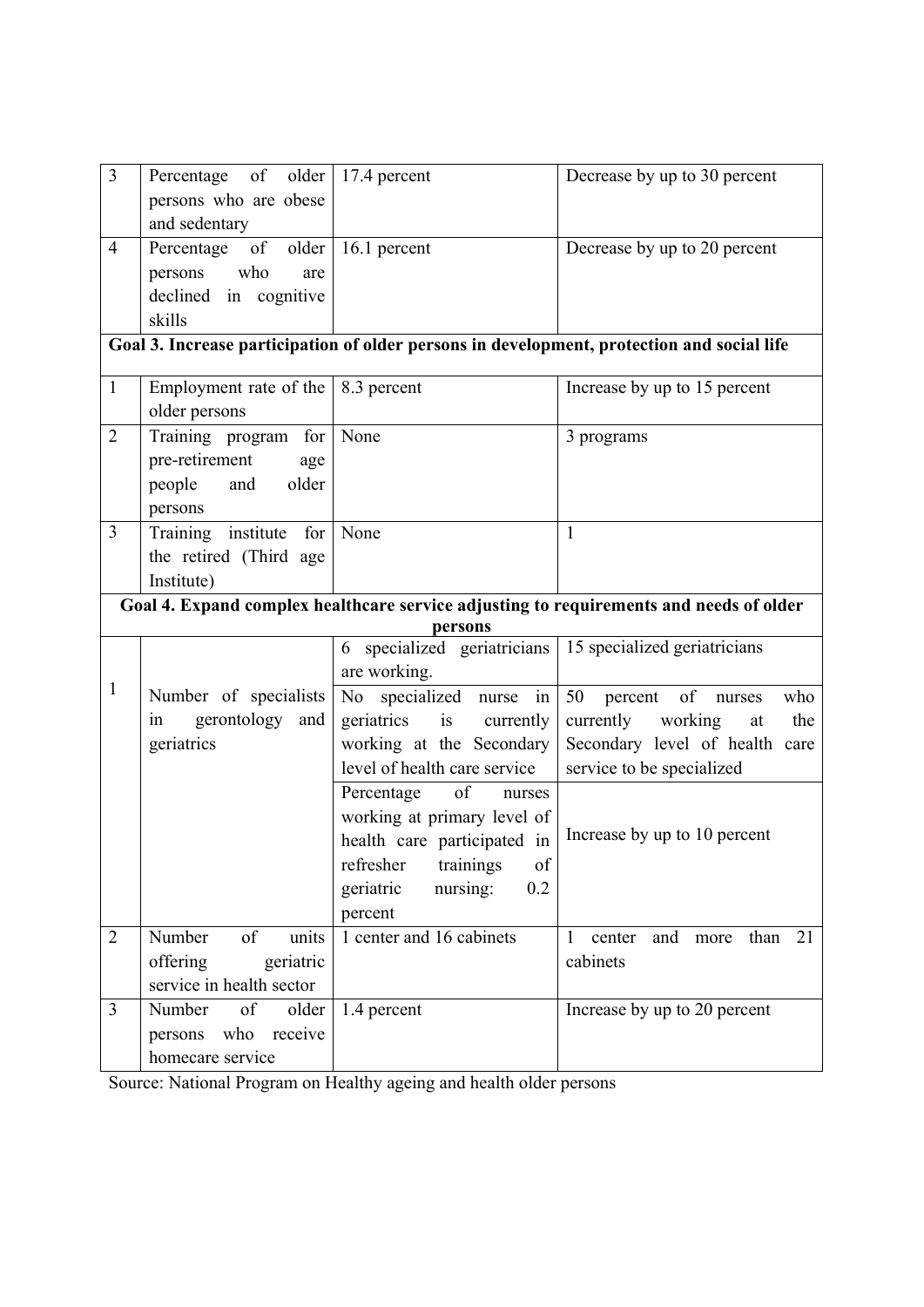| $\overline{3}$ | Percentage of older       | 17.4 percent                  | Decrease by up to 30 percent                                                               |
|----------------|---------------------------|-------------------------------|--------------------------------------------------------------------------------------------|
|                | persons who are obese     |                               |                                                                                            |
|                | and sedentary             |                               |                                                                                            |
| $\overline{4}$ | of<br>older<br>Percentage | 16.1 percent                  | Decrease by up to 20 percent                                                               |
|                | who<br>persons<br>are     |                               |                                                                                            |
|                | declined in cognitive     |                               |                                                                                            |
|                | skills                    |                               |                                                                                            |
|                |                           |                               | Goal 3. Increase participation of older persons in development, protection and social life |
| $\mathbf{1}$   | Employment rate of the    | 8.3 percent                   | Increase by up to 15 percent                                                               |
|                | older persons             |                               |                                                                                            |
| $\overline{2}$ | Training program for      | None                          | 3 programs                                                                                 |
|                | pre-retirement<br>age     |                               |                                                                                            |
|                | people<br>older<br>and    |                               |                                                                                            |
|                | persons                   |                               |                                                                                            |
| $\overline{3}$ | Training institute for    | None                          | $\mathbf{1}$                                                                               |
|                | the retired (Third age    |                               |                                                                                            |
|                | Institute)                |                               |                                                                                            |
|                |                           |                               | Goal 4. Expand complex healthcare service adjusting to requirements and needs of older     |
|                |                           | persons                       |                                                                                            |
|                |                           | 6 specialized geriatricians   | 15 specialized geriatricians                                                               |
|                |                           | are working.                  |                                                                                            |
| $\mathbf{1}$   | Number of specialists     | No specialized nurse in       | 50<br>of<br>who<br>percent<br>nurses                                                       |
|                | gerontology<br>and<br>in  | geriatrics<br>is<br>currently | currently working<br>the<br>at                                                             |
|                | geriatrics                | working at the Secondary      | Secondary level of health care                                                             |
|                |                           | level of health care service  | service to be specialized                                                                  |
|                |                           | Percentage of<br>nurses       |                                                                                            |
|                |                           | working at primary level of   |                                                                                            |
|                |                           | health care participated in   | Increase by up to 10 percent                                                               |
|                |                           | refresher<br>trainings<br>of  |                                                                                            |
|                |                           | 0.2<br>nursing:<br>geriatric  |                                                                                            |
|                |                           | percent                       |                                                                                            |
| $\overline{2}$ | Number<br>of<br>units     | 1 center and 16 cabinets      | 21<br>$\mathbf{1}$<br>and<br>than<br>center<br>more                                        |
|                | offering<br>geriatric     |                               | cabinets                                                                                   |
|                | service in health sector  |                               |                                                                                            |
| $\overline{3}$ | Number<br>of<br>older     | 1.4 percent                   | Increase by up to 20 percent                                                               |
|                | who receive<br>persons    |                               |                                                                                            |
|                | homecare service          |                               |                                                                                            |

Source: National Program on Healthy ageing and health older persons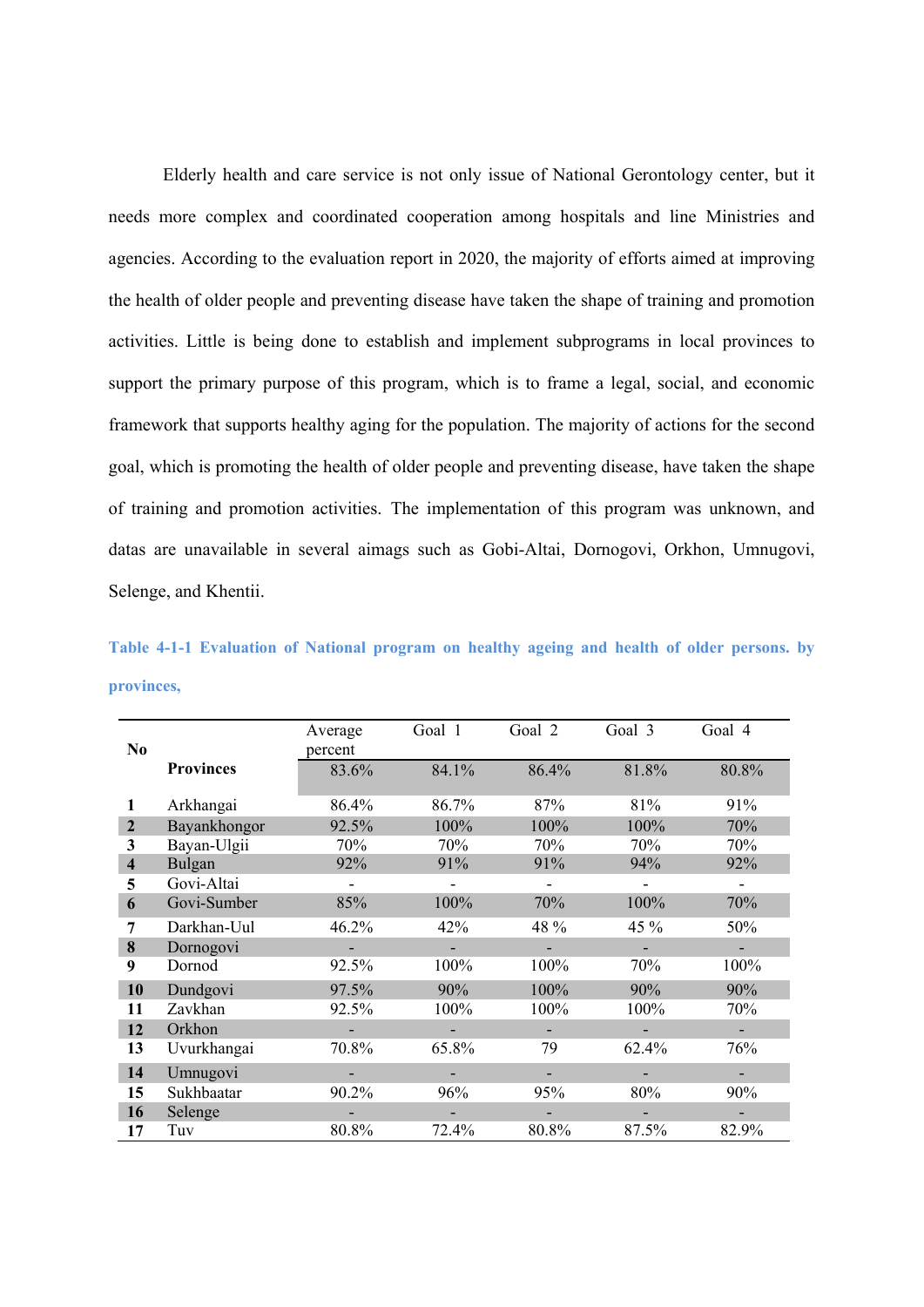Elderly health and care service is not only issue of National Gerontology center, but it needs more complex and coordinated cooperation among hospitals and line Ministries and agencies. According to the evaluation report in 2020, the majority of efforts aimed at improving the health of older people and preventing disease have taken the shape of training and promotion activities. Little is being done to establish and implement subprograms in local provinces to support the primary purpose of this program, which is to frame a legal, social, and economic framework that supports healthy aging for the population. The majority of actions for the second goal, which is promoting the health of older people and preventing disease, have taken the shape of training and promotion activities. The implementation of this program was unknown, and datas are unavailable in several aimags such as Gobi-Altai, Dornogovi, Orkhon, Umnugovi, Selenge, and Khentii.

**Table 4-1-1 Evaluation of National program on healthy ageing and health of older persons. by provinces,**

| N <sub>0</sub>          |                  | Average<br>percent | Goal 1 | Goal 2 | Goal 3 | Goal 4 |
|-------------------------|------------------|--------------------|--------|--------|--------|--------|
|                         | <b>Provinces</b> | 83.6%              | 84.1%  | 86.4%  | 81.8%  | 80.8%  |
| 1                       | Arkhangai        | 86.4%              | 86.7%  | 87%    | 81%    | 91%    |
| $\overline{2}$          | Bayankhongor     | 92.5%              | 100%   | 100%   | 100%   | 70%    |
| 3                       | Bayan-Ulgii      | 70%                | 70%    | 70%    | 70%    | 70%    |
| $\overline{\mathbf{4}}$ | Bulgan           | 92%                | 91%    | 91%    | 94%    | 92%    |
| 5                       | Govi-Altai       |                    |        |        |        |        |
| 6                       | Govi-Sumber      | 85%                | 100%   | 70%    | 100%   | 70%    |
| 7                       | Darkhan-Uul      | 46.2%              | 42%    | 48 %   | 45 %   | 50%    |
| 8                       | Dornogovi        |                    |        |        |        |        |
| 9                       | Dornod           | 92.5%              | 100%   | 100%   | 70%    | 100%   |
| 10                      | Dundgovi         | 97.5%              | 90%    | 100%   | 90%    | 90%    |
| 11                      | Zavkhan          | 92.5%              | 100%   | 100%   | 100%   | 70%    |
| 12                      | Orkhon           |                    |        |        |        |        |
| 13                      | Uvurkhangai      | 70.8%              | 65.8%  | 79     | 62.4%  | 76%    |
| 14                      | Umnugovi         |                    |        |        |        |        |
| 15                      | Sukhbaatar       | 90.2%              | 96%    | 95%    | 80%    | 90%    |
| 16                      | Selenge          |                    |        |        |        |        |
| 17                      | Tuv              | 80.8%              | 72.4%  | 80.8%  | 87.5%  | 82.9%  |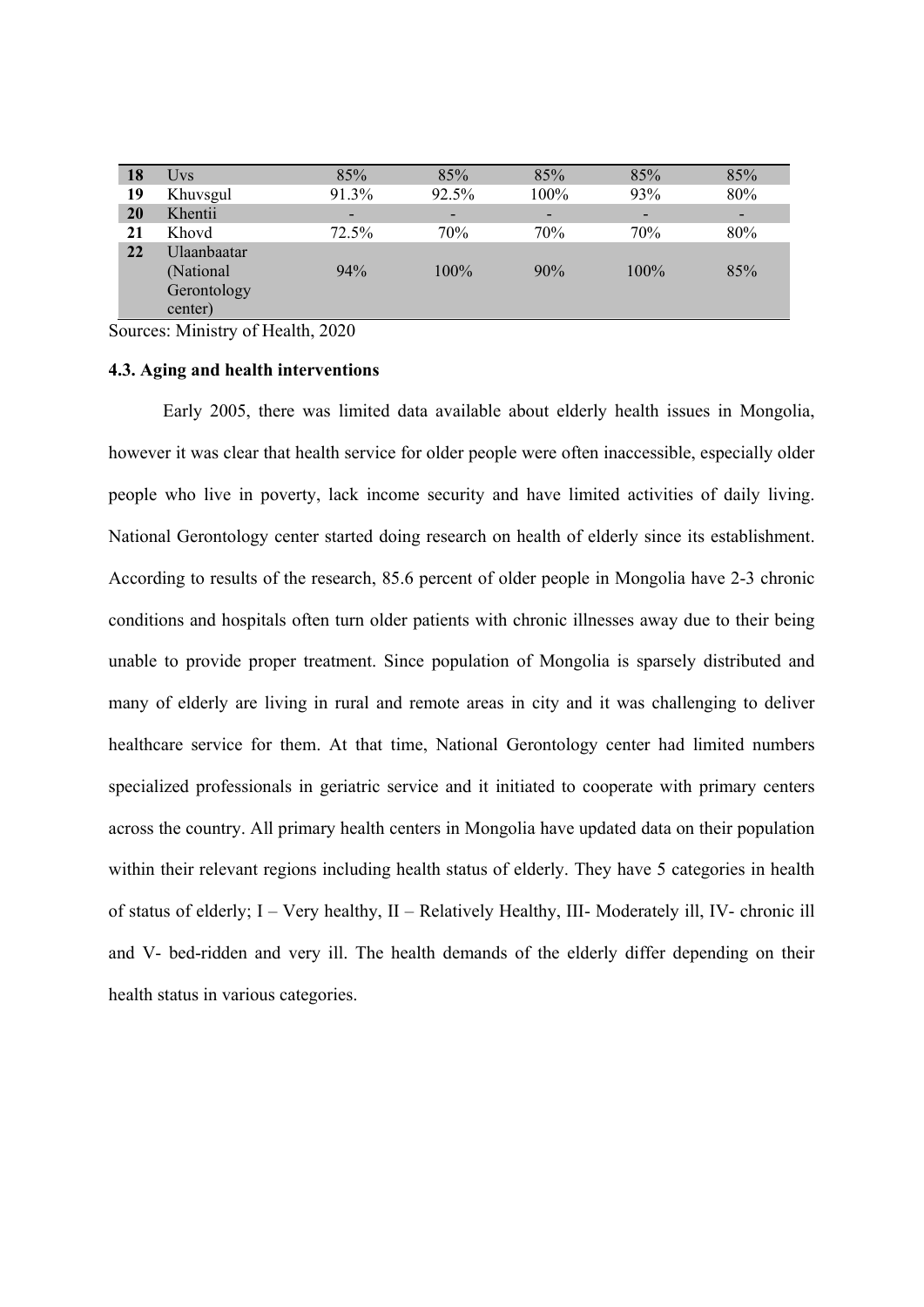| 18 | Uvs         | 85%   | 85%     | 85%  | 85%     | 85%                      |
|----|-------------|-------|---------|------|---------|--------------------------|
| 19 | Khuvsgul    | 91.3% | 92.5%   | 100% | 93%     | 80%                      |
| 20 | Khentii     | -     | -       | -    | -       | $\overline{\phantom{a}}$ |
| 21 | Khovd       | 72.5% | 70%     | 70%  | 70%     | 80%                      |
| 22 | Ulaanbaatar |       |         |      |         |                          |
|    | (National   | 94%   | $100\%$ | 90%  | $100\%$ | 85%                      |
|    | Gerontology |       |         |      |         |                          |
|    | center)     |       |         |      |         |                          |
|    |             |       |         |      |         |                          |

Sources: Ministry of Health, 2020

#### **4.3. Aging and health interventions**

Early 2005, there was limited data available about elderly health issues in Mongolia, however it was clear that health service for older people were often inaccessible, especially older people who live in poverty, lack income security and have limited activities of daily living. National Gerontology center started doing research on health of elderly since its establishment. According to results of the research, 85.6 percent of older people in Mongolia have 2-3 chronic conditions and hospitals often turn older patients with chronic illnesses away due to their being unable to provide proper treatment. Since population of Mongolia is sparsely distributed and many of elderly are living in rural and remote areas in city and it was challenging to deliver healthcare service for them. At that time, National Gerontology center had limited numbers specialized professionals in geriatric service and it initiated to cooperate with primary centers across the country. All primary health centers in Mongolia have updated data on their population within their relevant regions including health status of elderly. They have 5 categories in health of status of elderly; I – Very healthy, II – Relatively Healthy, III- Moderately ill, IV- chronic ill and V- bed-ridden and very ill. The health demands of the elderly differ depending on their health status in various categories.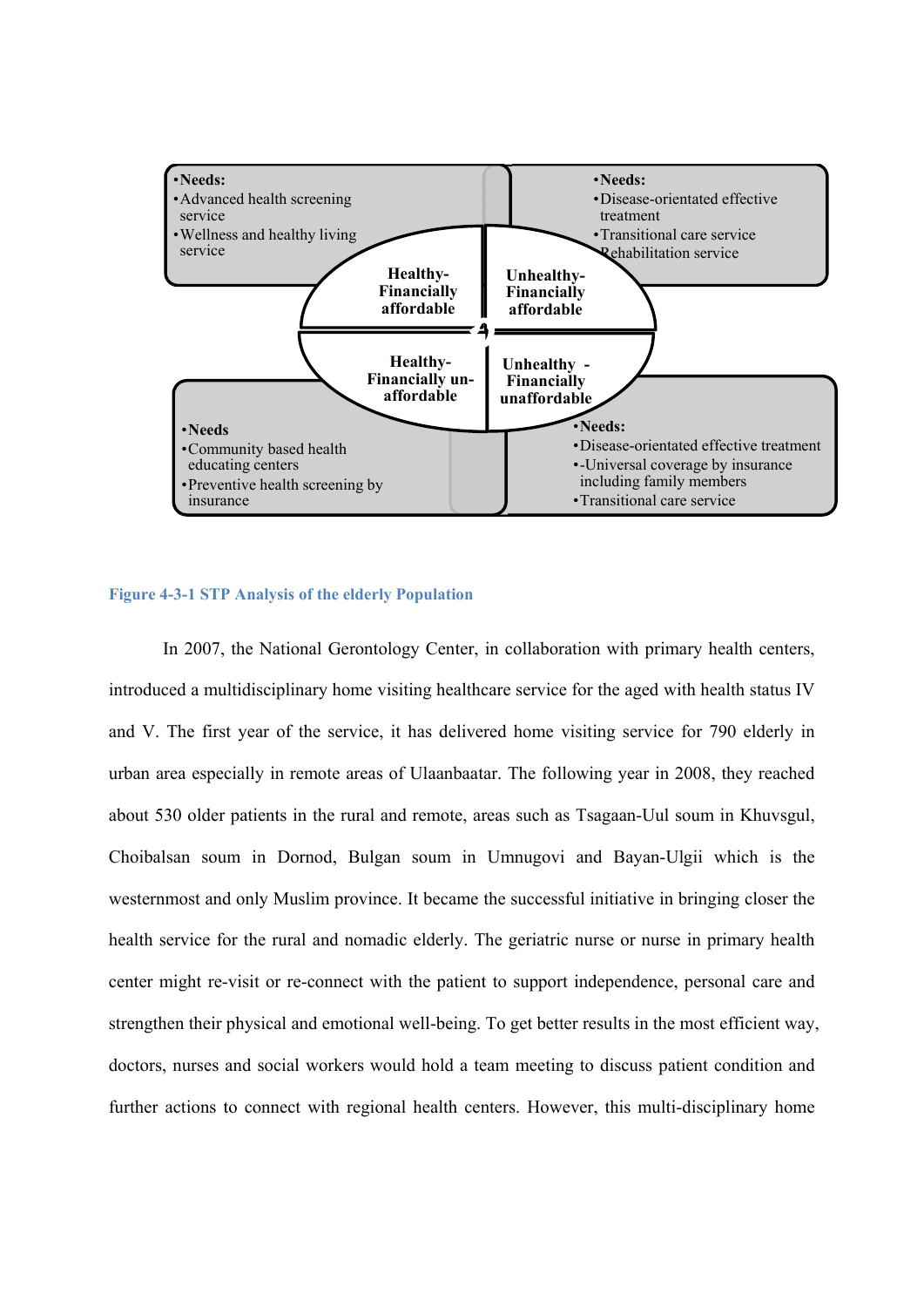

#### **Figure 4-3-1 STP Analysis of the elderly Population**

In 2007, the National Gerontology Center, in collaboration with primary health centers, introduced a multidisciplinary home visiting healthcare service for the aged with health status IV and V. The first year of the service, it has delivered home visiting service for 790 elderly in urban area especially in remote areas of Ulaanbaatar. The following year in 2008, they reached about 530 older patients in the rural and remote, areas such as Tsagaan-Uul soum in Khuvsgul, Choibalsan soum in Dornod, Bulgan soum in Umnugovi and Bayan-Ulgii which is the westernmost and only Muslim province. It became the successful initiative in bringing closer the health service for the rural and nomadic elderly. The geriatric nurse or nurse in primary health center might re-visit or re-connect with the patient to support independence, personal care and strengthen their physical and emotional well-being. To get better results in the most efficient way, doctors, nurses and social workers would hold a team meeting to discuss patient condition and further actions to connect with regional health centers. However, this multi-disciplinary home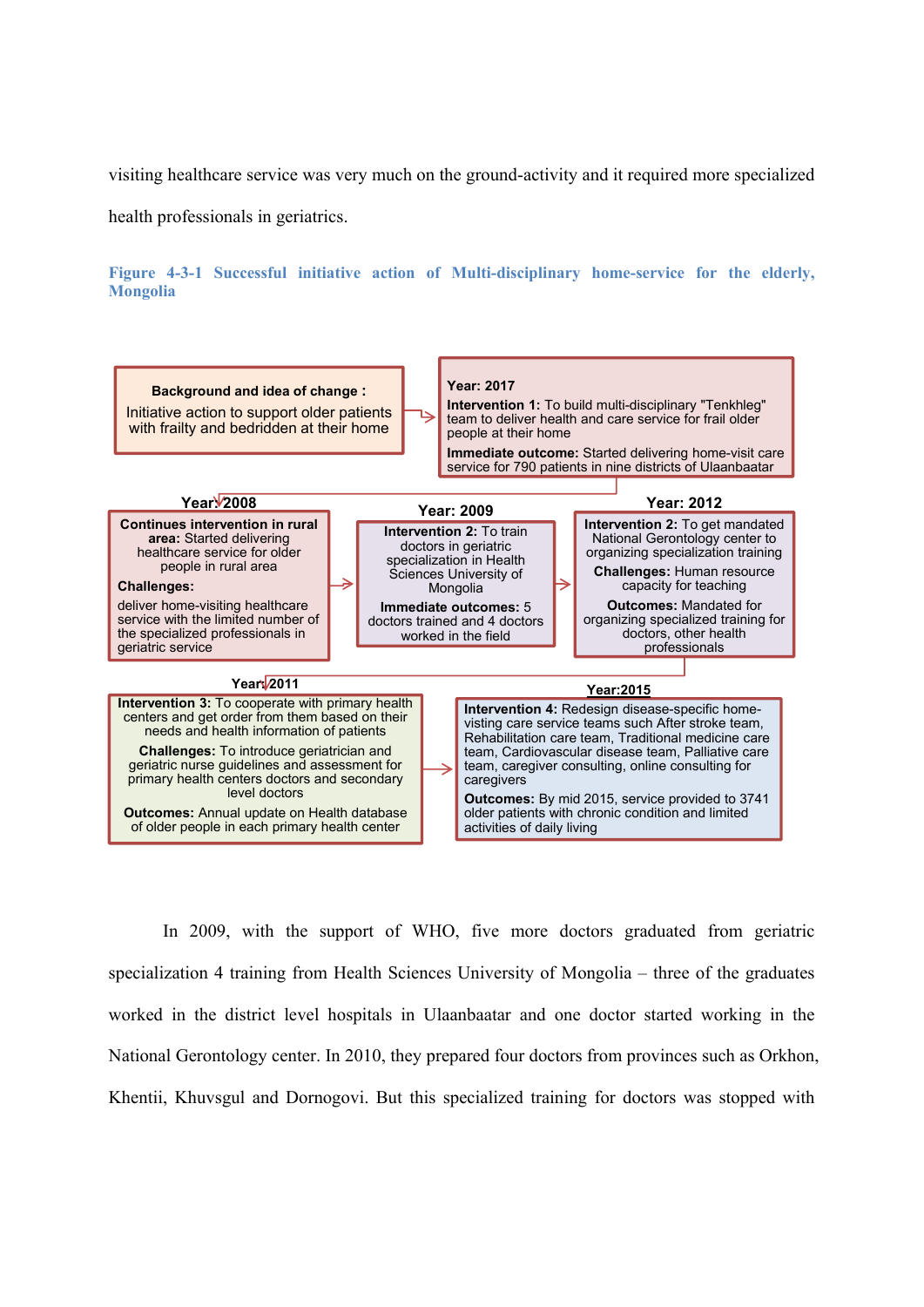visiting healthcare service was very much on the ground-activity and it required more specialized

health professionals in geriatrics.

**Figure 4-3-1 Successful initiative action of Multi-disciplinary home-service for the elderly, Mongolia**



In 2009, with the support of WHO, five more doctors graduated from geriatric specialization 4 training from Health Sciences University of Mongolia – three of the graduates worked in the district level hospitals in Ulaanbaatar and one doctor started working in the National Gerontology center. In 2010, they prepared four doctors from provinces such as Orkhon, Khentii, Khuvsgul and Dornogovi. But this specialized training for doctors was stopped with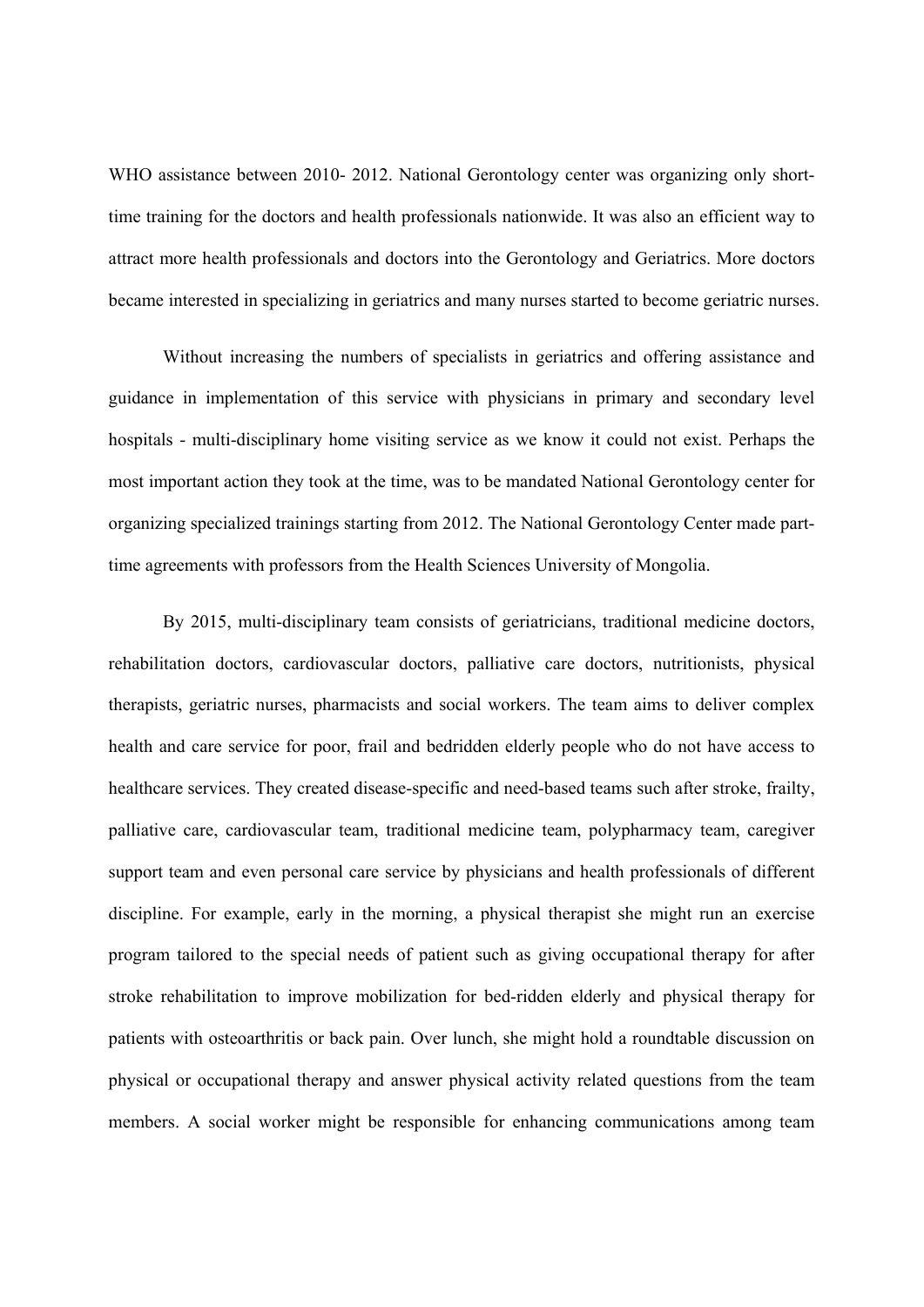WHO assistance between 2010- 2012. National Gerontology center was organizing only shorttime training for the doctors and health professionals nationwide. It was also an efficient way to attract more health professionals and doctors into the Gerontology and Geriatrics. More doctors became interested in specializing in geriatrics and many nurses started to become geriatric nurses.

Without increasing the numbers of specialists in geriatrics and offering assistance and guidance in implementation of this service with physicians in primary and secondary level hospitals - multi-disciplinary home visiting service as we know it could not exist. Perhaps the most important action they took at the time, was to be mandated National Gerontology center for organizing specialized trainings starting from 2012. The National Gerontology Center made parttime agreements with professors from the Health Sciences University of Mongolia.

By 2015, multi-disciplinary team consists of geriatricians, traditional medicine doctors, rehabilitation doctors, cardiovascular doctors, palliative care doctors, nutritionists, physical therapists, geriatric nurses, pharmacists and social workers. The team aims to deliver complex health and care service for poor, frail and bedridden elderly people who do not have access to healthcare services. They created disease-specific and need-based teams such after stroke, frailty, palliative care, cardiovascular team, traditional medicine team, polypharmacy team, caregiver support team and even personal care service by physicians and health professionals of different discipline. For example, early in the morning, a physical therapist she might run an exercise program tailored to the special needs of patient such as giving occupational therapy for after stroke rehabilitation to improve mobilization for bed-ridden elderly and physical therapy for patients with osteoarthritis or back pain. Over lunch, she might hold a roundtable discussion on physical or occupational therapy and answer physical activity related questions from the team members. A social worker might be responsible for enhancing communications among team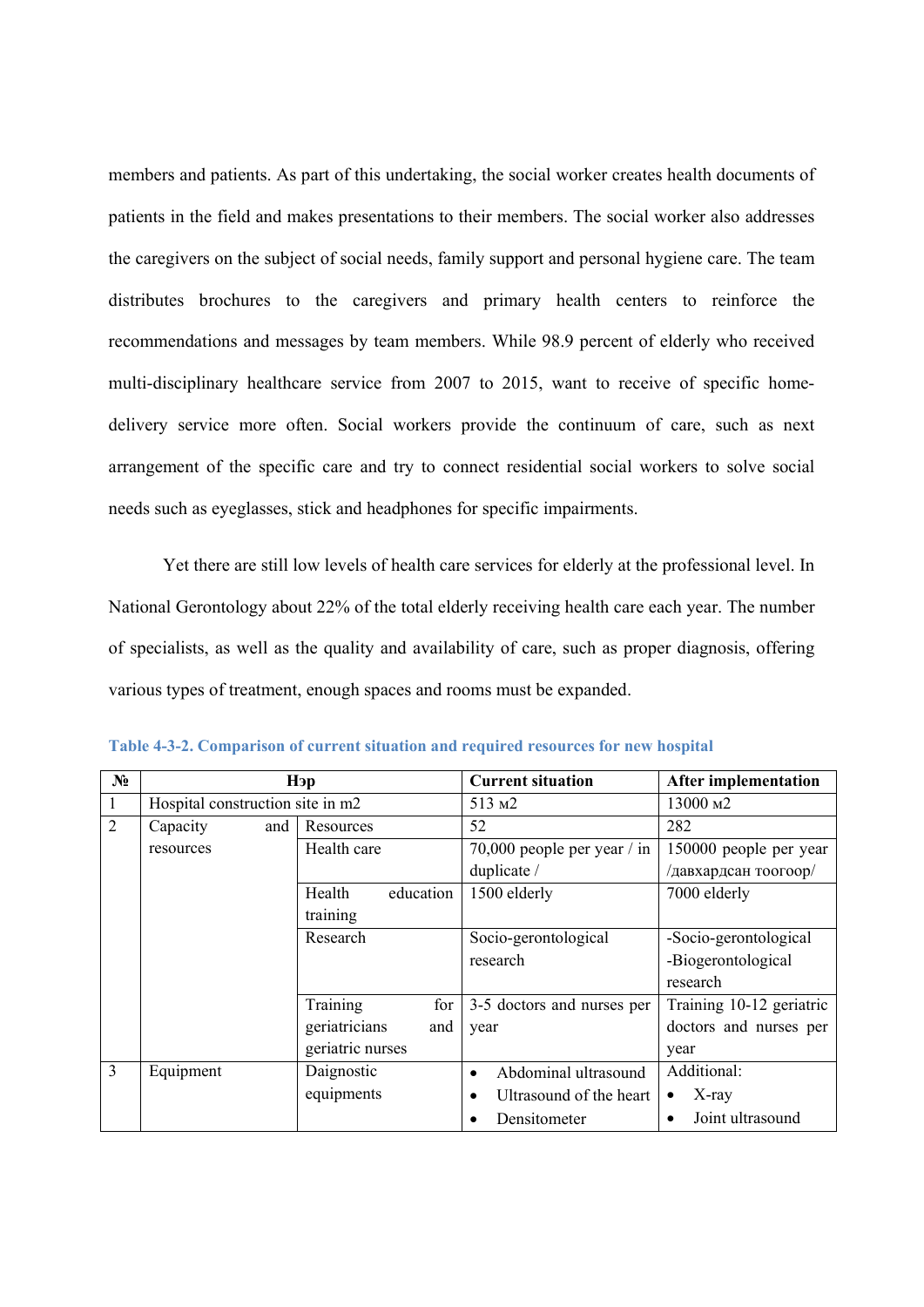members and patients. As part of this undertaking, the social worker creates health documents of patients in the field and makes presentations to their members. The social worker also addresses the caregivers on the subject of social needs, family support and personal hygiene care. The team distributes brochures to the caregivers and primary health centers to reinforce the recommendations and messages by team members. While 98.9 percent of elderly who received multi-disciplinary healthcare service from 2007 to 2015, want to receive of specific homedelivery service more often. Social workers provide the continuum of care, such as next arrangement of the specific care and try to connect residential social workers to solve social needs such as eyeglasses, stick and headphones for specific impairments.

Yet there are still low levels of health care services for elderly at the professional level. In National Gerontology about 22% of the total elderly receiving health care each year. The number of specialists, as well as the quality and availability of care, such as proper diagnosis, offering various types of treatment, enough spaces and rooms must be expanded.

| N <sub>2</sub> | Нэр                              |                      | <b>Current situation</b>             | <b>After implementation</b> |
|----------------|----------------------------------|----------------------|--------------------------------------|-----------------------------|
| 1              | Hospital construction site in m2 |                      | 513 M <sub>2</sub>                   | 13000 м2                    |
| $\overline{2}$ | Capacity<br>and                  | Resources            | 52                                   | 282                         |
|                | resources                        | Health care          | 70,000 people per year $/$ in        | 150000 people per year      |
|                |                                  |                      | duplicate /                          | /давхардсан тоогоор/        |
|                |                                  | education<br>Health  | 1500 elderly                         | 7000 elderly                |
|                |                                  | training             |                                      |                             |
|                |                                  | Research             | Socio-gerontological                 | -Socio-gerontological       |
|                |                                  |                      | research                             | -Biogerontological          |
|                |                                  |                      |                                      | research                    |
|                |                                  | Training<br>for      | 3-5 doctors and nurses per           | Training 10-12 geriatric    |
|                |                                  | geriatricians<br>and | year                                 | doctors and nurses per      |
|                |                                  | geriatric nurses     |                                      | year                        |
| 3              | Equipment                        | Daignostic           | Abdominal ultrasound<br>$\bullet$    | Additional:                 |
|                |                                  | equipments           | Ultrasound of the heart<br>$\bullet$ | $X$ -ray<br>٠               |
|                |                                  |                      | Densitometer<br>$\bullet$            | Joint ultrasound            |

**Table 4-3-2. Comparison of current situation and required resources for new hospital**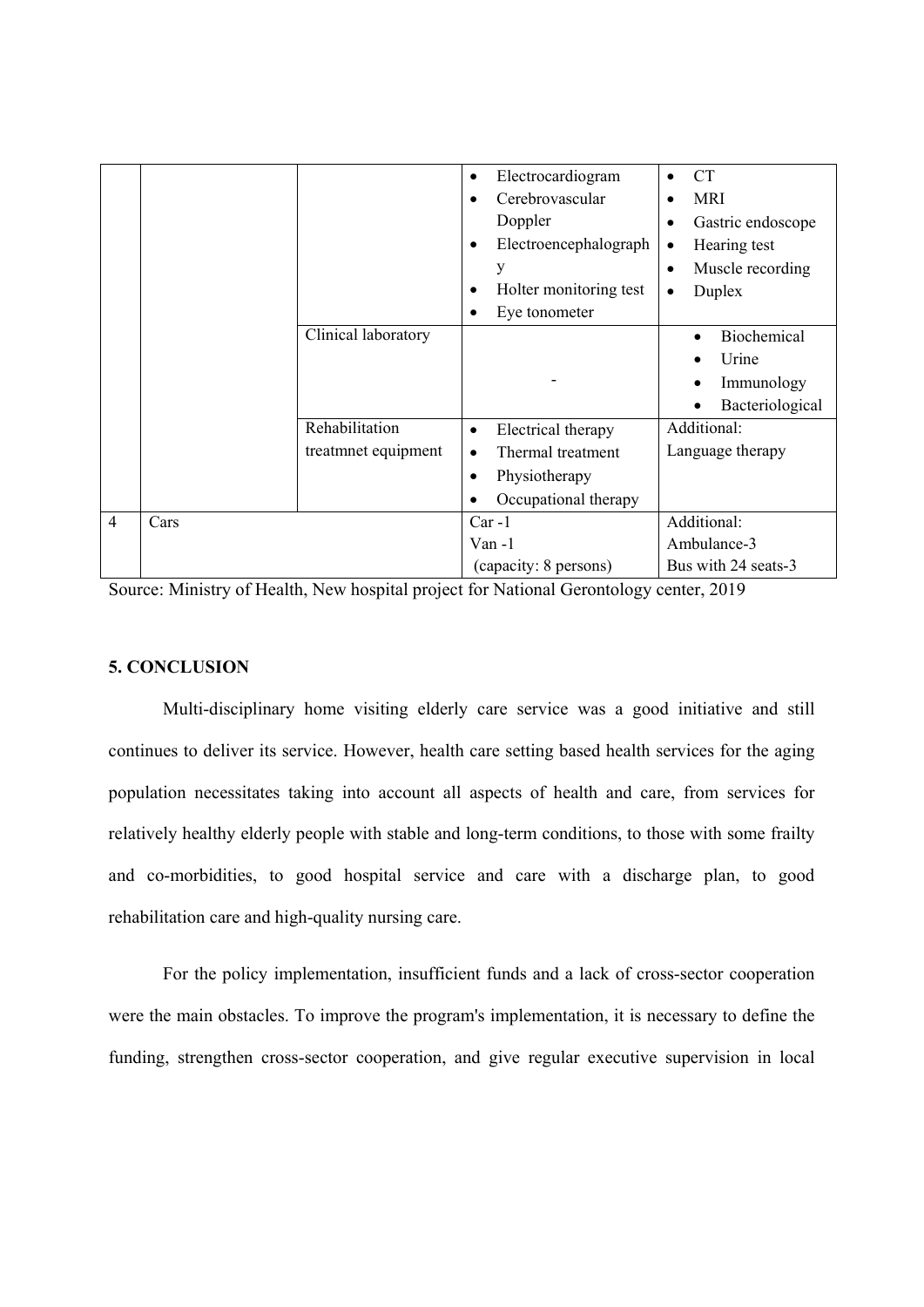|                |      |                     | Electrocardiogram                  | <b>CT</b>                      |
|----------------|------|---------------------|------------------------------------|--------------------------------|
|                |      |                     | Cerebrovascular                    | <b>MRI</b>                     |
|                |      |                     | Doppler                            | Gastric endoscope<br>$\bullet$ |
|                |      |                     | Electroencephalograph<br>$\bullet$ | Hearing test<br>$\bullet$      |
|                |      |                     | V                                  | Muscle recording<br>$\bullet$  |
|                |      |                     | Holter monitoring test             | Duplex<br>$\bullet$            |
|                |      |                     | Eye tonometer                      |                                |
|                |      | Clinical laboratory |                                    | Biochemical                    |
|                |      |                     |                                    | Urine                          |
|                |      |                     |                                    | Immunology<br>$\bullet$        |
|                |      |                     |                                    | Bacteriological                |
|                |      | Rehabilitation      | Electrical therapy<br>$\bullet$    | Additional:                    |
|                |      | treatmnet equipment | Thermal treatment                  | Language therapy               |
|                |      |                     | Physiotherapy                      |                                |
|                |      |                     | Occupational therapy               |                                |
| $\overline{4}$ | Cars |                     | $Car -1$                           | Additional:                    |
|                |      |                     | $Van - 1$                          | Ambulance-3                    |
|                |      |                     | (capacity: 8 persons)              | Bus with 24 seats-3            |

Source: Ministry of Health, New hospital project for National Gerontology center, 2019

#### **5. CONCLUSION**

Multi-disciplinary home visiting elderly care service was a good initiative and still continues to deliver its service. However, health care setting based health services for the aging population necessitates taking into account all aspects of health and care, from services for relatively healthy elderly people with stable and long-term conditions, to those with some frailty and co-morbidities, to good hospital service and care with a discharge plan, to good rehabilitation care and high-quality nursing care.

For the policy implementation, insufficient funds and a lack of cross-sector cooperation were the main obstacles. To improve the program's implementation, it is necessary to define the funding, strengthen cross-sector cooperation, and give regular executive supervision in local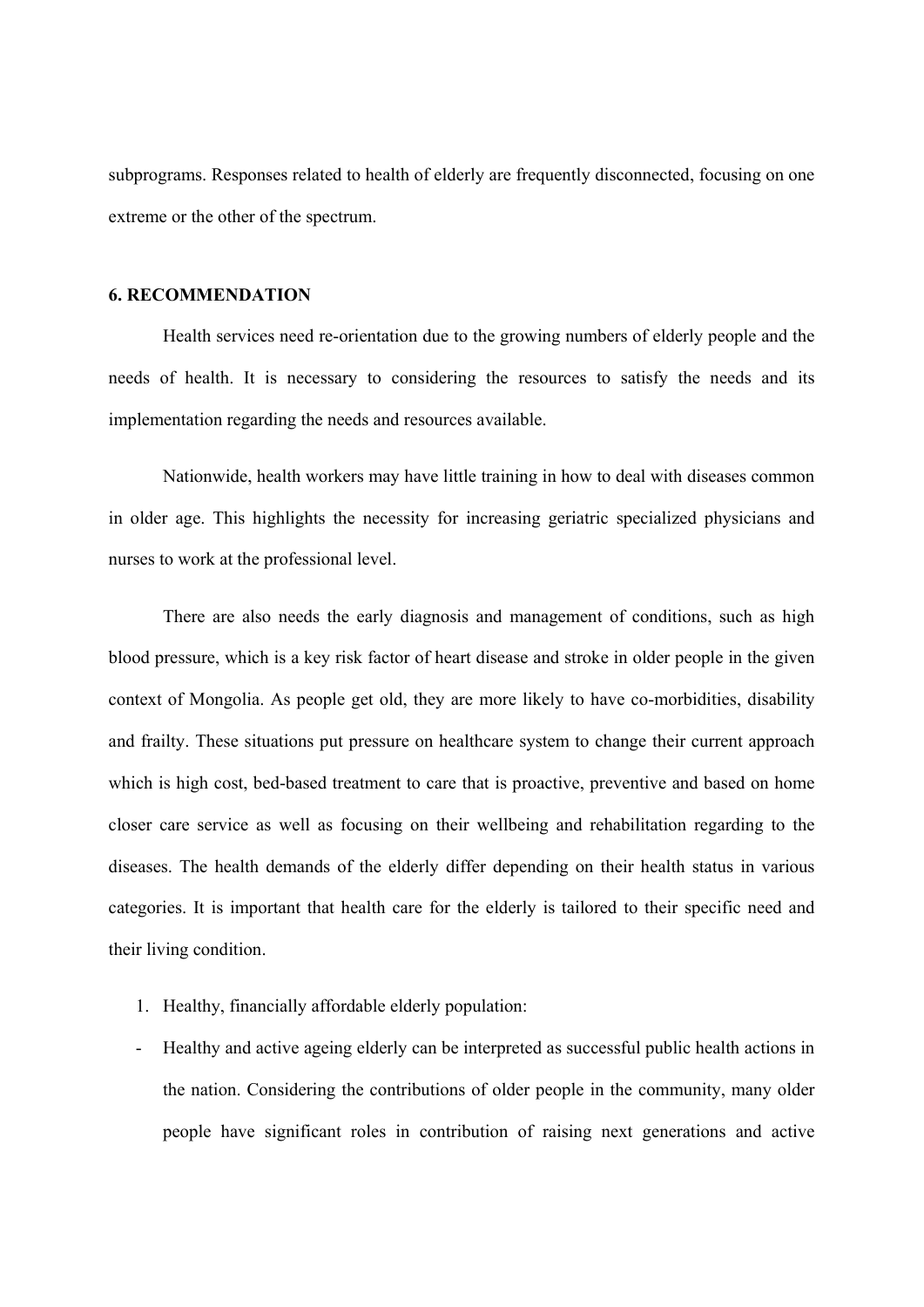subprograms. Responses related to health of elderly are frequently disconnected, focusing on one extreme or the other of the spectrum.

#### **6. RECOMMENDATION**

Health services need re-orientation due to the growing numbers of elderly people and the needs of health. It is necessary to considering the resources to satisfy the needs and its implementation regarding the needs and resources available.

Nationwide, health workers may have little training in how to deal with diseases common in older age. This highlights the necessity for increasing geriatric specialized physicians and nurses to work at the professional level.

There are also needs the early diagnosis and management of conditions, such as high blood pressure, which is a key risk factor of heart disease and stroke in older people in the given context of Mongolia. As people get old, they are more likely to have co-morbidities, disability and frailty. These situations put pressure on healthcare system to change their current approach which is high cost, bed-based treatment to care that is proactive, preventive and based on home closer care service as well as focusing on their wellbeing and rehabilitation regarding to the diseases. The health demands of the elderly differ depending on their health status in various categories. It is important that health care for the elderly is tailored to their specific need and their living condition.

- 1. Healthy, financially affordable elderly population:
- Healthy and active ageing elderly can be interpreted as successful public health actions in the nation. Considering the contributions of older people in the community, many older people have significant roles in contribution of raising next generations and active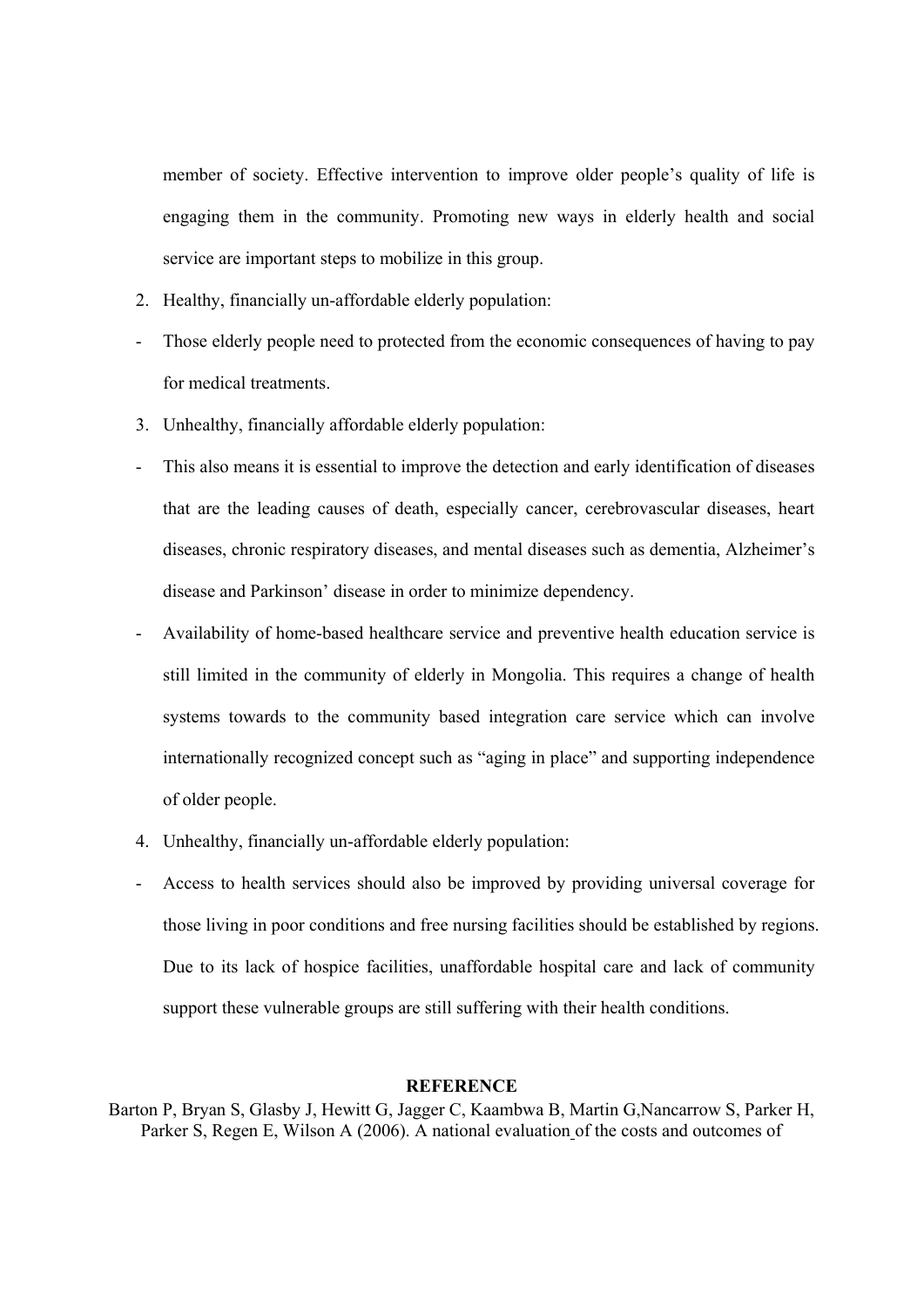member of society. Effective intervention to improve older people's quality of life is engaging them in the community. Promoting new ways in elderly health and social service are important steps to mobilize in this group.

- 2. Healthy, financially un-affordable elderly population:
- Those elderly people need to protected from the economic consequences of having to pay for medical treatments.
- 3. Unhealthy, financially affordable elderly population:
- This also means it is essential to improve the detection and early identification of diseases that are the leading causes of death, especially cancer, cerebrovascular diseases, heart diseases, chronic respiratory diseases, and mental diseases such as dementia, Alzheimer's disease and Parkinson' disease in order to minimize dependency.
- Availability of home-based healthcare service and preventive health education service is still limited in the community of elderly in Mongolia. This requires a change of health systems towards to the community based integration care service which can involve internationally recognized concept such as "aging in place" and supporting independence of older people.
- 4. Unhealthy, financially un-affordable elderly population:
- Access to health services should also be improved by providing universal coverage for those living in poor conditions and free nursing facilities should be established by regions. Due to its lack of hospice facilities, unaffordable hospital care and lack of community support these vulnerable groups are still suffering with their health conditions.

#### **REFERENCE**

Barton P, Bryan S, Glasby J, Hewitt G, Jagger C, Kaambwa B, Martin G,Nancarrow S, Parker H, Parker S, Regen E, Wilson A (2006). A national evaluation of the costs and outcomes of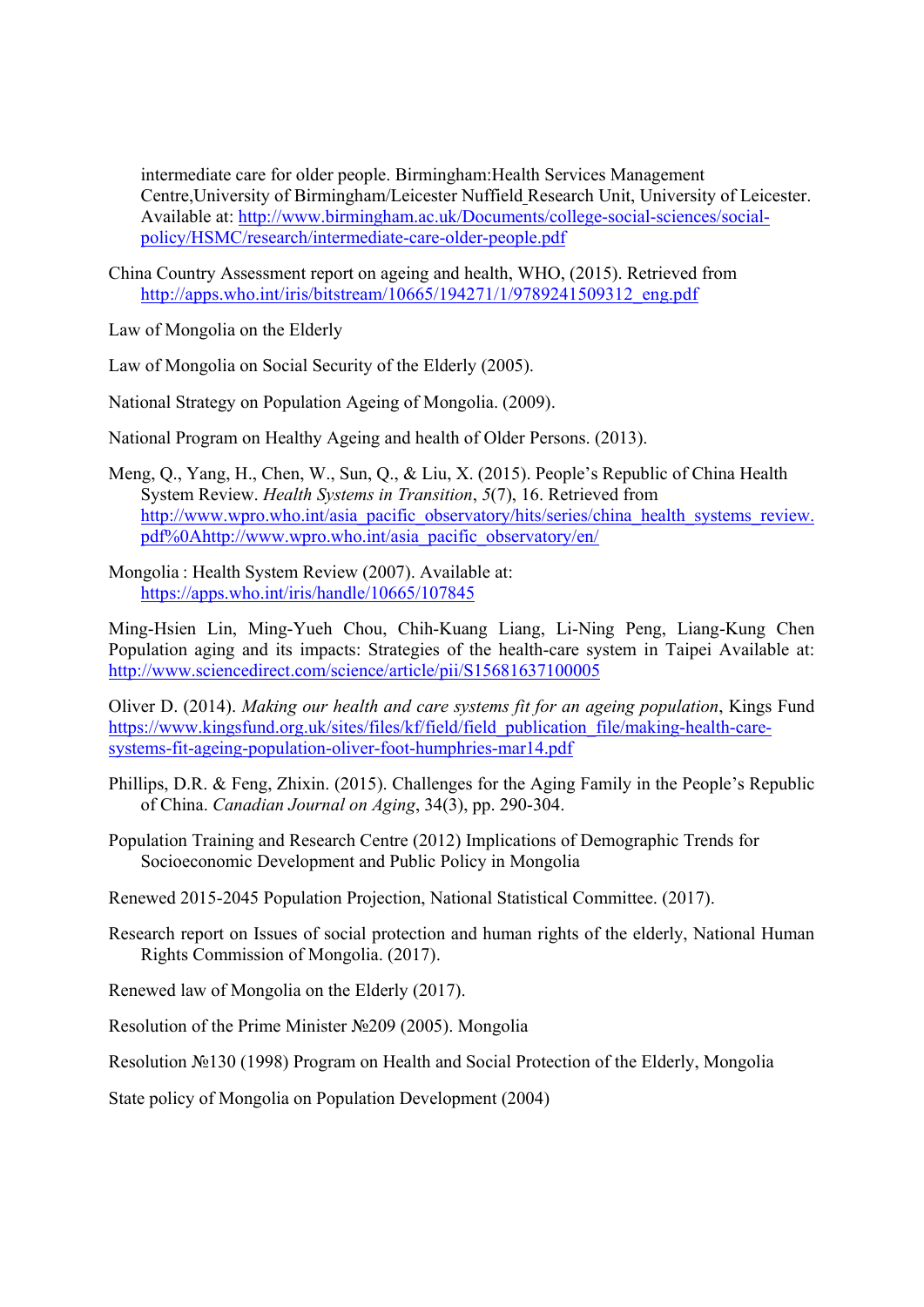intermediate care for older people. Birmingham:Health Services Management Centre,University of Birmingham/Leicester Nuffield Research Unit, University of Leicester. Available at: http://www.birmingham.ac.uk/Documents/college-social-sciences/socialpolicy/HSMC/research/intermediate-care-older-people.pdf

China Country Assessment report on ageing and health, WHO, (2015). Retrieved from http://apps.who.int/iris/bitstream/10665/194271/1/9789241509312\_eng.pdf

Law of Mongolia on the Elderly

Law of Mongolia on Social Security of the Elderly (2005).

National Strategy on Population Ageing of Mongolia. (2009).

- National Program on Healthy Ageing and health of Older Persons. (2013).
- Meng, Q., Yang, H., Chen, W., Sun, Q., & Liu, X. (2015). People's Republic of China Health System Review. *Health Systems in Transition*, *5*(7), 16. Retrieved from http://www.wpro.who.int/asia\_pacific\_observatory/hits/series/china\_health\_systems\_review. pdf%0Ahttp://www.wpro.who.int/asia\_pacific\_observatory/en/
- Mongolia : Health System Review (2007). Available at: https://apps.who.int/iris/handle/10665/107845

Ming-Hsien Lin, Ming-Yueh Chou, Chih-Kuang Liang, Li-Ning Peng, Liang-Kung Chen Population aging and its impacts: Strategies of the health-care system in Taipei Available at: http://www.sciencedirect.com/science/article/pii/S15681637100005

Oliver D. (2014). *Making our health and care systems fit for an ageing population*, Kings Fund https://www.kingsfund.org.uk/sites/files/kf/field/field\_publication\_file/making-health-caresystems-fit-ageing-population-oliver-foot-humphries-mar14.pdf

- Phillips, D.R. & Feng, Zhixin. (2015). Challenges for the Aging Family in the People's Republic of China. *Canadian Journal on Aging*, 34(3), pp. 290-304.
- Population Training and Research Centre (2012) Implications of Demographic Trends for Socioeconomic Development and Public Policy in Mongolia
- Renewed 2015-2045 Population Projection, National Statistical Committee. (2017).
- Research report on Issues of social protection and human rights of the elderly, National Human Rights Commission of Mongolia. (2017).
- Renewed law of Mongolia on the Elderly (2017).
- Resolution of the Prime Minister №209 (2005). Mongolia

Resolution №130 (1998) Program on Health and Social Protection of the Elderly, Mongolia

State policy of Mongolia on Population Development (2004)